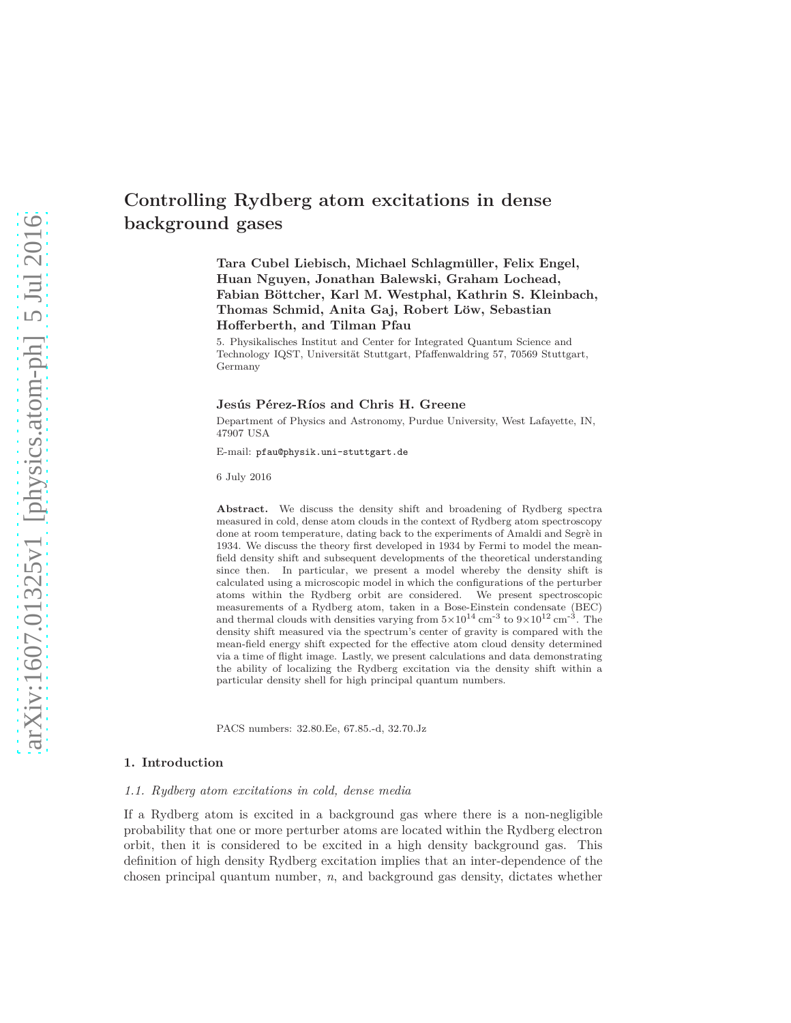# **Controlling Rydberg atom excitations in dense background gases**

**Tara Cubel Liebisch, Michael Schlagmuller, Felix Engel, ¨ Huan Nguyen, Jonathan Balewski, Graham Lochead,** Fabian Böttcher, Karl M. Westphal, Kathrin S. Kleinbach, **Thomas Schmid, Anita Gaj, Robert L¨ow, Sebastian Hofferberth, and Tilman Pfau**

5. Physikalisches Institut and Center for Integrated Quantum Science and Technology IQST, Universität Stuttgart, Pfaffenwaldring 57, 70569 Stuttgart, Germany

## **Jesus P ´ ´erez-R´ıos and Chris H. Greene**

Department of Physics and Astronomy, Purdue University, West Lafayette, IN, 47907 USA

E-mail: pfau@physik.uni-stuttgart.de

6 July 2016

**Abstract.** We discuss the density shift and broadening of Rydberg spectra measured in cold, dense atom clouds in the context of Rydberg atom spectroscopy done at room temperature, dating back to the experiments of Amaldi and Segrè in 1934. We discuss the theory first developed in 1934 by Fermi to model the meanfield density shift and subsequent developments of the theoretical understanding since then. In particular, we present a model whereby the density shift is calculated using a microscopic model in which the configurations of the perturber atoms within the Rydberg orbit are considered. We present spectroscopic measurements of a Rydberg atom, taken in a Bose-Einstein condensate (BEC) and thermal clouds with densities varying from  $5 \times 10^{14}$  cm<sup>-3</sup> to  $9 \times 10^{12}$  cm<sup>-3</sup>. The density shift measured via the spectrum's center of gravity is compared with the mean-field energy shift expected for the effective atom cloud density determined via a time of flight image. Lastly, we present calculations and data demonstrating the ability of localizing the Rydberg excitation via the density shift within a particular density shell for high principal quantum numbers.

PACS numbers: 32.80.Ee, 67.85.-d, 32.70.Jz

#### **1. Introduction**

### *1.1. Rydberg atom excitations in cold, dense media*

If a Rydberg atom is excited in a background gas where there is a non-negligible probability that one or more perturber atoms are located within the Rydberg electron orbit, then it is considered to be excited in a high density background gas. This definition of high density Rydberg excitation implies that an inter-dependence of the chosen principal quantum number, *n*, and background gas density, dictates whether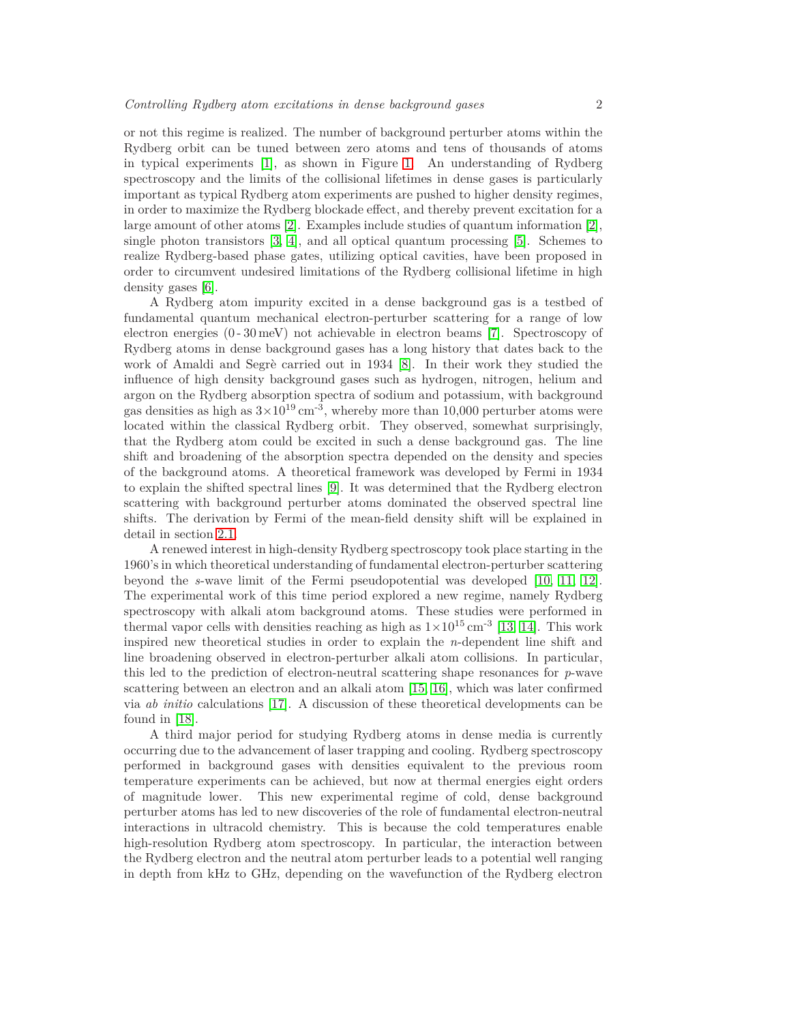or not this regime is realized. The number of background perturber atoms within the Rydberg orbit can be tuned between zero atoms and tens of thousands of atoms in typical experiments [\[1\]](#page-24-0), as shown in Figure [1.](#page-2-0) An understanding of Rydberg spectroscopy and the limits of the collisional lifetimes in dense gases is particularly important as typical Rydberg atom experiments are pushed to higher density regimes, in order to maximize the Rydberg blockade effect, and thereby prevent excitation for a large amount of other atoms [\[2\]](#page-24-1). Examples include studies of quantum information [\[2\]](#page-24-1), single photon transistors [\[3,](#page-24-2) [4\]](#page-24-3), and all optical quantum processing [\[5\]](#page-24-4). Schemes to realize Rydberg-based phase gates, utilizing optical cavities, have been proposed in order to circumvent undesired limitations of the Rydberg collisional lifetime in high density gases [\[6\]](#page-24-5).

A Rydberg atom impurity excited in a dense background gas is a testbed of fundamental quantum mechanical electron-perturber scattering for a range of low electron energies (0 - 30 meV) not achievable in electron beams [\[7\]](#page-24-6). Spectroscopy of Rydberg atoms in dense background gases has a long history that dates back to the work of Amaldi and Segrè carried out in 1934 [\[8\]](#page-24-7). In their work they studied the influence of high density background gases such as hydrogen, nitrogen, helium and argon on the Rydberg absorption spectra of sodium and potassium, with background gas densities as high as  $3\times10^{19}$  cm<sup>-3</sup>, whereby more than 10,000 perturber atoms were located within the classical Rydberg orbit. They observed, somewhat surprisingly, that the Rydberg atom could be excited in such a dense background gas. The line shift and broadening of the absorption spectra depended on the density and species of the background atoms. A theoretical framework was developed by Fermi in 1934 to explain the shifted spectral lines [\[9\]](#page-24-8). It was determined that the Rydberg electron scattering with background perturber atoms dominated the observed spectral line shifts. The derivation by Fermi of the mean-field density shift will be explained in detail in section [2.1.](#page-3-0)

A renewed interest in high-density Rydberg spectroscopy took place starting in the 1960's in which theoretical understanding of fundamental electron-perturber scattering beyond the *s*-wave limit of the Fermi pseudopotential was developed [\[10,](#page-24-9) [11,](#page-24-10) [12\]](#page-24-11). The experimental work of this time period explored a new regime, namely Rydberg spectroscopy with alkali atom background atoms. These studies were performed in thermal vapor cells with densities reaching as high as  $1 \times 10^{15}$  cm<sup>-3</sup> [\[13,](#page-24-12) [14\]](#page-24-13). This work inspired new theoretical studies in order to explain the *n*-dependent line shift and line broadening observed in electron-perturber alkali atom collisions. In particular, this led to the prediction of electron-neutral scattering shape resonances for *p*-wave scattering between an electron and an alkali atom [\[15,](#page-24-14) [16\]](#page-24-15), which was later confirmed via *ab initio* calculations [\[17\]](#page-24-16). A discussion of these theoretical developments can be found in [\[18\]](#page-24-17).

A third major period for studying Rydberg atoms in dense media is currently occurring due to the advancement of laser trapping and cooling. Rydberg spectroscopy performed in background gases with densities equivalent to the previous room temperature experiments can be achieved, but now at thermal energies eight orders of magnitude lower. This new experimental regime of cold, dense background perturber atoms has led to new discoveries of the role of fundamental electron-neutral interactions in ultracold chemistry. This is because the cold temperatures enable high-resolution Rydberg atom spectroscopy. In particular, the interaction between the Rydberg electron and the neutral atom perturber leads to a potential well ranging in depth from kHz to GHz, depending on the wavefunction of the Rydberg electron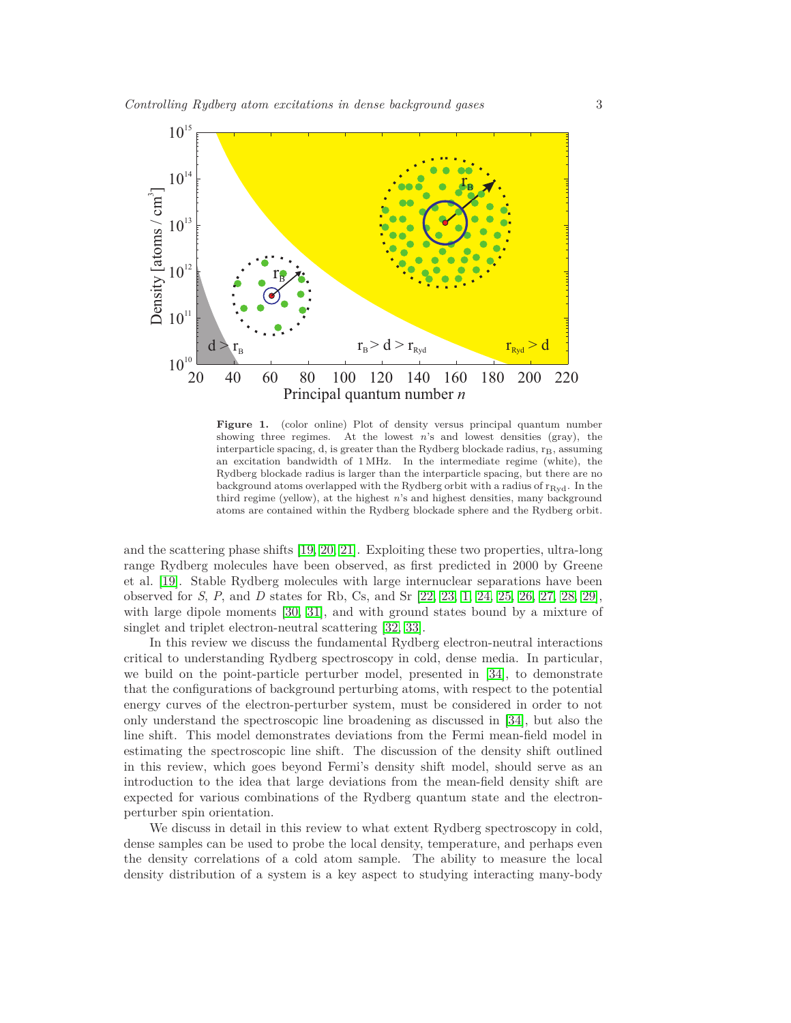

<span id="page-2-0"></span>Figure 1. (color online) Plot of density versus principal quantum number showing three regimes. At the lowest  $n$ 's and lowest densities (gray), the interparticle spacing, d, is greater than the Rydberg blockade radius,  $r_B$ , assuming an excitation bandwidth of 1 MHz. In the intermediate regime (white), the Rydberg blockade radius is larger than the interparticle spacing, but there are no background atoms overlapped with the Rydberg orbit with a radius of  $r_{Rvd}$ . In the third regime (yellow), at the highest *n*'s and highest densities, many background atoms are contained within the Rydberg blockade sphere and the Rydberg orbit.

and the scattering phase shifts [\[19,](#page-24-18) [20,](#page-24-19) [21\]](#page-24-20). Exploiting these two properties, ultra-long range Rydberg molecules have been observed, as first predicted in 2000 by Greene et al. [\[19\]](#page-24-18). Stable Rydberg molecules with large internuclear separations have been observed for *S*, *P*, and *D* states for Rb, Cs, and Sr [\[22,](#page-24-21) [23,](#page-24-22) [1,](#page-24-0) [24,](#page-24-23) [25,](#page-24-24) [26,](#page-25-0) [27,](#page-25-1) [28,](#page-25-2) [29\]](#page-25-3), with large dipole moments [\[30,](#page-25-4) [31\]](#page-25-5), and with ground states bound by a mixture of singlet and triplet electron-neutral scattering [\[32,](#page-25-6) [33\]](#page-25-7).

In this review we discuss the fundamental Rydberg electron-neutral interactions critical to understanding Rydberg spectroscopy in cold, dense media. In particular, we build on the point-particle perturber model, presented in [\[34\]](#page-25-8), to demonstrate that the configurations of background perturbing atoms, with respect to the potential energy curves of the electron-perturber system, must be considered in order to not only understand the spectroscopic line broadening as discussed in [\[34\]](#page-25-8), but also the line shift. This model demonstrates deviations from the Fermi mean-field model in estimating the spectroscopic line shift. The discussion of the density shift outlined in this review, which goes beyond Fermi's density shift model, should serve as an introduction to the idea that large deviations from the mean-field density shift are expected for various combinations of the Rydberg quantum state and the electronperturber spin orientation.

We discuss in detail in this review to what extent Rydberg spectroscopy in cold, dense samples can be used to probe the local density, temperature, and perhaps even the density correlations of a cold atom sample. The ability to measure the local density distribution of a system is a key aspect to studying interacting many-body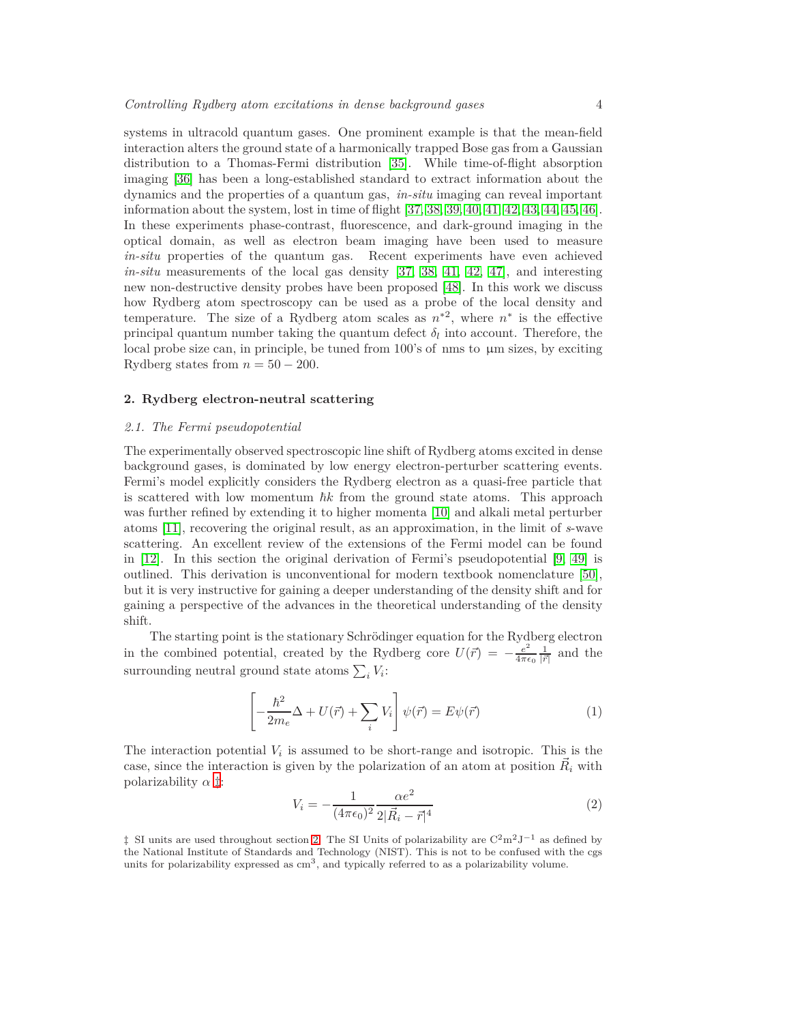systems in ultracold quantum gases. One prominent example is that the mean-field interaction alters the ground state of a harmonically trapped Bose gas from a Gaussian distribution to a Thomas-Fermi distribution [\[35\]](#page-25-9). While time-of-flight absorption imaging [\[36\]](#page-25-10) has been a long-established standard to extract information about the dynamics and the properties of a quantum gas, *in-situ* imaging can reveal important information about the system, lost in time of flight [\[37,](#page-25-11) [38,](#page-25-12) [39,](#page-25-13) [40,](#page-25-14) [41,](#page-25-15) [42,](#page-25-16) [43,](#page-25-17) [44,](#page-25-18) [45,](#page-25-19) [46\]](#page-25-20). In these experiments phase-contrast, fluorescence, and dark-ground imaging in the optical domain, as well as electron beam imaging have been used to measure *in-situ* properties of the quantum gas. Recent experiments have even achieved *in-situ* measurements of the local gas density [\[37,](#page-25-11) [38,](#page-25-12) [41,](#page-25-15) [42,](#page-25-16) [47\]](#page-25-21), and interesting new non-destructive density probes have been proposed [\[48\]](#page-25-22). In this work we discuss how Rydberg atom spectroscopy can be used as a probe of the local density and temperature. The size of a Rydberg atom scales as  $n^{*2}$ , where  $n^{*}$  is the effective principal quantum number taking the quantum defect  $\delta_l$  into account. Therefore, the local probe size can, in principle, be tuned from 100's of nms to  $\mu$ m sizes, by exciting Rydberg states from  $n = 50 - 200$ .

# <span id="page-3-2"></span><span id="page-3-0"></span>**2. Rydberg electron-neutral scattering**

# *2.1. The Fermi pseudopotential*

The experimentally observed spectroscopic line shift of Rydberg atoms excited in dense background gases, is dominated by low energy electron-perturber scattering events. Fermi's model explicitly considers the Rydberg electron as a quasi-free particle that is scattered with low momentum  $\hbar k$  from the ground state atoms. This approach was further refined by extending it to higher momenta [\[10\]](#page-24-9) and alkali metal perturber atoms [\[11\]](#page-24-10), recovering the original result, as an approximation, in the limit of *s*-wave scattering. An excellent review of the extensions of the Fermi model can be found in [\[12\]](#page-24-11). In this section the original derivation of Fermi's pseudopotential [\[9,](#page-24-8) [49\]](#page-25-23) is outlined. This derivation is unconventional for modern textbook nomenclature [\[50\]](#page-25-24), but it is very instructive for gaining a deeper understanding of the density shift and for gaining a perspective of the advances in the theoretical understanding of the density shift.

The starting point is the stationary Schrödinger equation for the Rydberg electron in the combined potential, created by the Rydberg core  $U(\vec{r}) = -\frac{e^2}{4\pi\epsilon}$  $\frac{e^2}{4\pi\epsilon_0} \frac{1}{|\vec{r}|}$  and the surrounding neutral ground state atoms  $\sum_i V_i$ :

<span id="page-3-3"></span>
$$
\left[ -\frac{\hbar^2}{2m_e} \Delta + U(\vec{r}) + \sum_i V_i \right] \psi(\vec{r}) = E\psi(\vec{r}) \tag{1}
$$

The interaction potential  $V_i$  is assumed to be short-range and isotropic. This is the case, since the interaction is given by the polarization of an atom at position  $\vec{R}_i$  with polarizability *α* [‡](#page-3-1):

<span id="page-3-4"></span>
$$
V_i = -\frac{1}{(4\pi\epsilon_0)^2} \frac{\alpha e^2}{2|\vec{R}_i - \vec{r}|^4}
$$
 (2)

<span id="page-3-1"></span> $\ddagger$  SI units are used throughout section [2.](#page-3-2) The SI Units of polarizability are C<sup>2</sup>m<sup>2</sup>J<sup>−1</sup> as defined by the National Institute of Standards and Technology (NIST). This is not to be confused with the cgs units for polarizability expressed as  $\text{cm}^3$ , and typically referred to as a polarizability volume.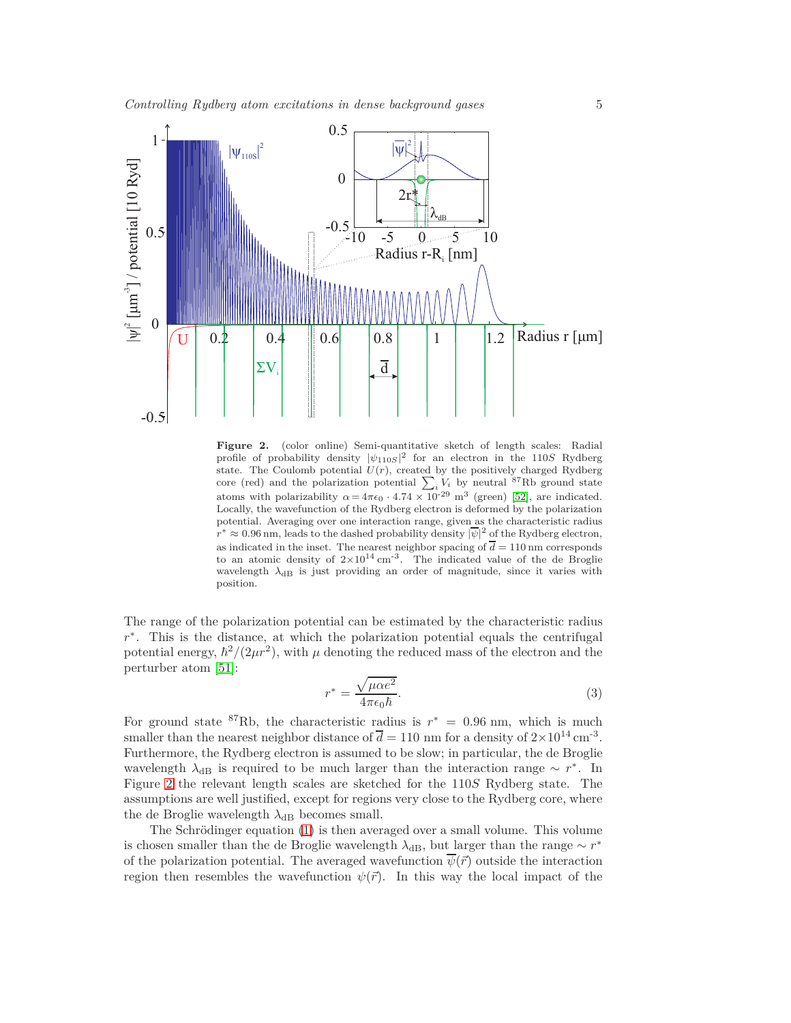

<span id="page-4-0"></span>**Figure 2.** (color online) Semi-quantitative sketch of length scales: Radial profile of probability density  $|\psi_{110S}|^2$  for an electron in the 110*S* Rydberg state. The Coulomb potential  $U(r)$ , created by the positively charged Rydberg core (red) and the polarization potential  $\sum_{i} V_i$  by neutral <sup>87</sup>Rb ground state atoms with polarizability  $\alpha = 4\pi\epsilon_0 \cdot 4.74 \times 10^{-29}$  m<sup>3</sup> (green) [\[52\]](#page-25-25), are indicated. Locally, the wavefunction of the Rydberg electron is deformed by the polarization potential. Averaging over one interaction range, given as the characteristic radius  $r^* \approx 0.96$  nm, leads to the dashed probability density  $|\overline{\psi}|^2$  of the Rydberg electron, as indicated in the inset. The nearest neighbor spacing of  $\overline{d} = 110 \text{ nm}$  corresponds to an atomic density of  $2\times10^{14}$  cm<sup>-3</sup>. The indicated value of the de Broglie wavelength  $\lambda_{\text{dB}}$  is just providing an order of magnitude, since it varies with position.

The range of the polarization potential can be estimated by the characteristic radius *r*<sup>\*</sup>. This is the distance, at which the polarization potential equals the centrifugal potential energy,  $\hbar^2/(2\mu r^2)$ , with  $\mu$  denoting the reduced mass of the electron and the perturber atom [\[51\]](#page-25-26):

$$
r^* = \frac{\sqrt{\mu \alpha e^2}}{4\pi \epsilon_0 \hbar}.\tag{3}
$$

For ground state  ${}^{87}$ Rb, the characteristic radius is  $r^* = 0.96$  nm, which is much smaller than the nearest neighbor distance of  $\overline{d} = 110$  nm for a density of  $2 \times 10^{14}$  cm<sup>-3</sup>. Furthermore, the Rydberg electron is assumed to be slow; in particular, the de Broglie wavelength  $\lambda_{dB}$  is required to be much larger than the interaction range  $\sim r^*$ . In Figure [2](#page-4-0) the relevant length scales are sketched for the 110*S* Rydberg state. The assumptions are well justified, except for regions very close to the Rydberg core, where the de Broglie wavelength  $\lambda_{dB}$  becomes small.

The Schrödinger equation  $(1)$  is then averaged over a small volume. This volume is chosen smaller than the de Broglie wavelength  $\lambda_{\text{dB}}$ , but larger than the range  $\sim r^*$ of the polarization potential. The averaged wavefunction  $\overline{\psi}(\vec{r})$  outside the interaction region then resembles the wavefunction  $\psi(\vec{r})$ . In this way the local impact of the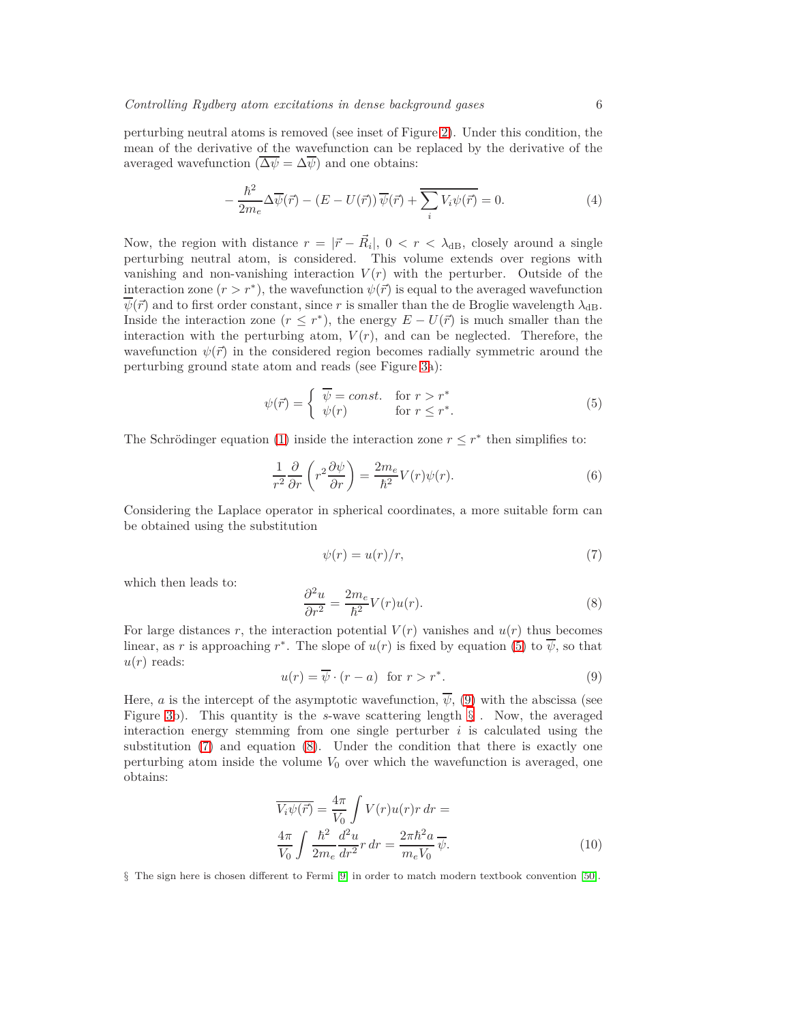perturbing neutral atoms is removed (see inset of Figure [2\)](#page-4-0). Under this condition, the mean of the derivative of the wavefunction can be replaced by the derivative of the averaged wavefunction  $(\overline{\Delta \psi} = \Delta \overline{\psi})$  and one obtains:

$$
-\frac{\hbar^2}{2m_e}\Delta \overline{\psi}(\vec{r}) - (E - U(\vec{r}))\,\overline{\psi}(\vec{r}) + \overline{\sum_i V_i \psi(\vec{r})} = 0.
$$
\n(4)

Now, the region with distance  $r = |\vec{r} - \vec{R}_i|$ ,  $0 < r < \lambda_{dB}$ , closely around a single perturbing neutral atom, is considered. This volume extends over regions with vanishing and non-vanishing interaction  $V(r)$  with the perturber. Outside of the interaction zone  $(r > r^*)$ , the wavefunction  $\psi(\vec{r})$  is equal to the averaged wavefunction  $\overline{\psi}(\vec{r})$  and to first order constant, since r is smaller than the de Broglie wavelength  $\lambda_{\text{dB}}$ . Inside the interaction zone  $(r \leq r^*)$ , the energy  $E - U(\vec{r})$  is much smaller than the interaction with the perturbing atom,  $V(r)$ , and can be neglected. Therefore, the wavefunction  $\psi(\vec{r})$  in the considered region becomes radially symmetric around the perturbing ground state atom and reads (see Figure [3a](#page-6-0)):

<span id="page-5-0"></span>
$$
\psi(\vec{r}) = \begin{cases} \overline{\psi} = const. & \text{for } r > r^* \\ \psi(r) & \text{for } r \le r^*. \end{cases}
$$
\n(5)

The Schrödinger equation [\(1\)](#page-3-3) inside the interaction zone  $r \leq r^*$  then simplifies to:

$$
\frac{1}{r^2} \frac{\partial}{\partial r} \left( r^2 \frac{\partial \psi}{\partial r} \right) = \frac{2m_e}{\hbar^2} V(r) \psi(r). \tag{6}
$$

Considering the Laplace operator in spherical coordinates, a more suitable form can be obtained using the substitution

<span id="page-5-3"></span>
$$
\psi(r) = u(r)/r,\tag{7}
$$

which then leads to:

<span id="page-5-4"></span>
$$
\frac{\partial^2 u}{\partial r^2} = \frac{2m_e}{\hbar^2} V(r)u(r). \tag{8}
$$

For large distances r, the interaction potential  $V(r)$  vanishes and  $u(r)$  thus becomes linear, as r is approaching  $r^*$ . The slope of  $u(r)$  is fixed by equation [\(5\)](#page-5-0) to  $\overline{\psi}$ , so that  $u(r)$  reads:

<span id="page-5-1"></span>
$$
u(r) = \overline{\psi} \cdot (r - a) \quad \text{for } r > r^*.
$$
 (9)

Here, *a* is the intercept of the asymptotic wavefunction,  $\overline{\psi}$ , [\(9\)](#page-5-1) with the abscissa (see Figure [3b](#page-6-0)). This quantity is the *s*-wave scattering length [§](#page-5-2) . Now, the averaged interaction energy stemming from one single perturber *i* is calculated using the substitution [\(7\)](#page-5-3) and equation [\(8\)](#page-5-4). Under the condition that there is exactly one perturbing atom inside the volume  $V_0$  over which the wavefunction is averaged, one obtains:

<span id="page-5-5"></span>
$$
\overline{V_i \psi(\vec{r})} = \frac{4\pi}{V_0} \int V(r)u(r)r \, dr =
$$
\n
$$
\frac{4\pi}{V_0} \int \frac{\hbar^2}{2m_e} \frac{d^2u}{dr^2} r \, dr = \frac{2\pi\hbar^2 a}{m_e V_0} \overline{\psi}.
$$
\n(10)

<span id="page-5-2"></span>§ The sign here is chosen different to Fermi [\[9\]](#page-24-8) in order to match modern textbook convention [\[50\]](#page-25-24).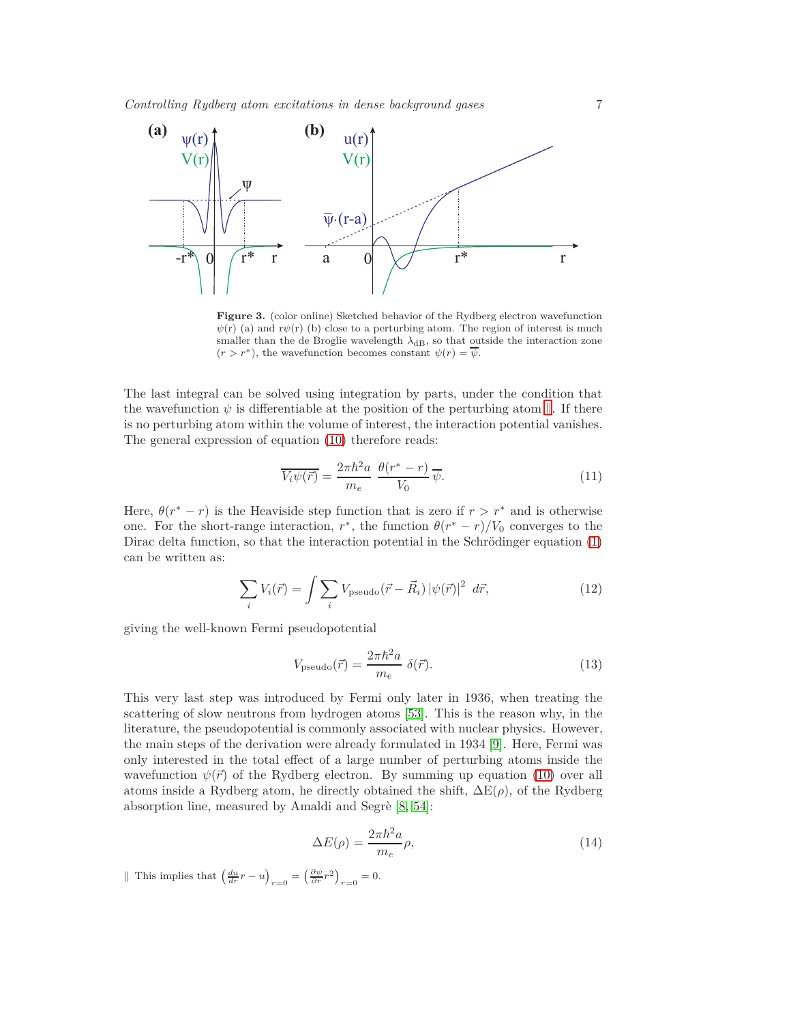

<span id="page-6-0"></span>**Figure 3.** (color online) Sketched behavior of the Rydberg electron wavefunction  $\psi(r)$  (a) and  $r\psi(r)$  (b) close to a perturbing atom. The region of interest is much smaller than the de Broglie wavelength  $\lambda_{dB}$ , so that outside the interaction zone  $(r > r^*)$ , the wavefunction becomes constant  $\psi(r) = \overline{\psi}$ .

The last integral can be solved using integration by parts, under the condition that the wavefunction  $\psi$  is differentiable at the position of the perturbing atom  $\|$ . If there is no perturbing atom within the volume of interest, the interaction potential vanishes. The general expression of equation [\(10\)](#page-5-5) therefore reads:

$$
\overline{V_i \psi(\vec{r})} = \frac{2\pi \hbar^2 a}{m_e} \frac{\theta(r^* - r)}{V_0} \overline{\psi}.
$$
\n(11)

Here,  $\theta(r^* - r)$  is the Heaviside step function that is zero if  $r > r^*$  and is otherwise one. For the short-range interaction,  $r^*$ , the function  $\theta(r^* - r)/V_0$  converges to the Dirac delta function, so that the interaction potential in the Schrödinger equation  $(1)$ can be written as:

$$
\sum_{i} V_{i}(\vec{r}) = \int \sum_{i} V_{\text{pseudo}}(\vec{r} - \vec{R}_{i}) |\psi(\vec{r})|^{2} d\vec{r}, \qquad (12)
$$

giving the well-known Fermi pseudopotential

<span id="page-6-2"></span>
$$
V_{\text{pseudo}}(\vec{r}) = \frac{2\pi\hbar^2 a}{m_e} \delta(\vec{r}).\tag{13}
$$

This very last step was introduced by Fermi only later in 1936, when treating the scattering of slow neutrons from hydrogen atoms [\[53\]](#page-25-27). This is the reason why, in the literature, the pseudopotential is commonly associated with nuclear physics. However, the main steps of the derivation were already formulated in 1934 [\[9\]](#page-24-8). Here, Fermi was only interested in the total effect of a large number of perturbing atoms inside the wavefunction  $\psi(\vec{r})$  of the Rydberg electron. By summing up equation [\(10\)](#page-5-5) over all atoms inside a Rydberg atom, he directly obtained the shift,  $\Delta E(\rho)$ , of the Rydberg absorption line, measured by Amaldi and Segrè  $[8, 54]$  $[8, 54]$ :

<span id="page-6-3"></span>
$$
\Delta E(\rho) = \frac{2\pi\hbar^2 a}{m_e} \rho,\tag{14}
$$

<span id="page-6-1"></span>|| This implies that  $\left(\frac{du}{dr}r - u\right)_{r=0} = \left(\frac{\partial \psi}{\partial r}r^2\right)_{r=0} = 0.$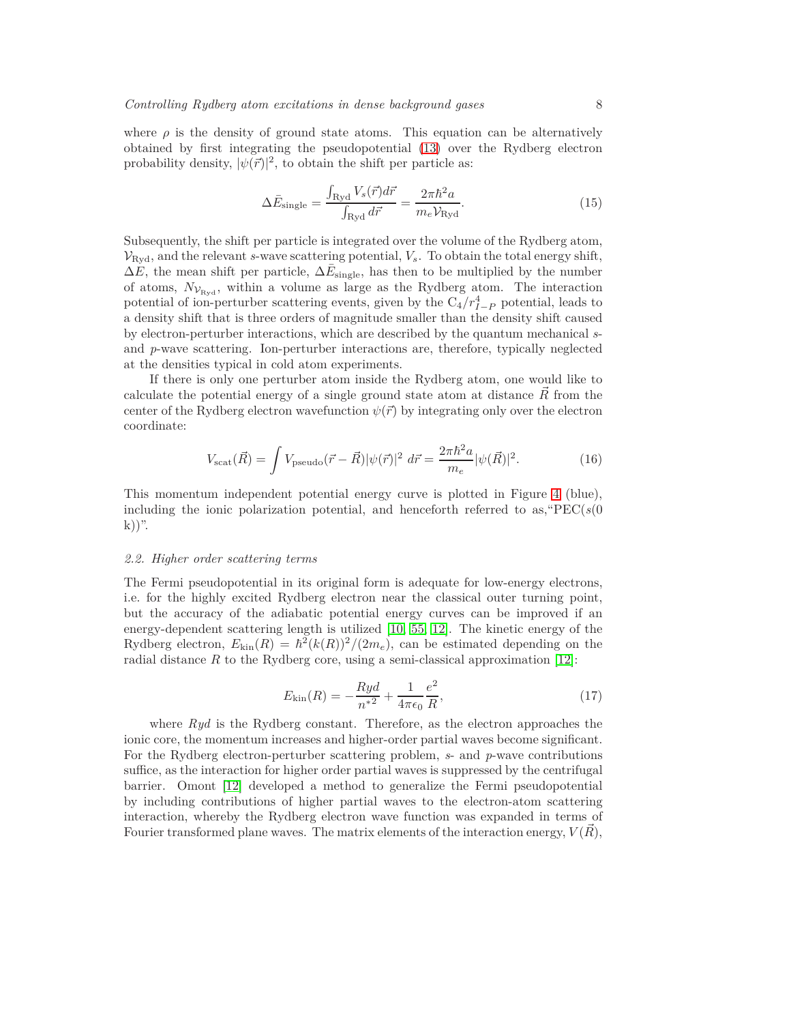where  $\rho$  is the density of ground state atoms. This equation can be alternatively obtained by first integrating the pseudopotential [\(13\)](#page-6-2) over the Rydberg electron probability density,  $|\psi(\vec{r})|^2$ , to obtain the shift per particle as:

<span id="page-7-1"></span>
$$
\Delta \bar{E}_{\text{single}} = \frac{\int_{\text{Ryd}} V_s(\vec{r}) d\vec{r}}{\int_{\text{Ryd}} d\vec{r}} = \frac{2\pi \hbar^2 a}{m_e V_{\text{Ryd}}}.
$$
\n(15)

Subsequently, the shift per particle is integrated over the volume of the Rydberg atom,  $V_{\text{Ryd}}$ , and the relevant *s*-wave scattering potential,  $V_s$ . To obtain the total energy shift,  $\Delta E$ , the mean shift per particle,  $\Delta E_{\text{single}}$ , has then to be multiplied by the number of atoms,  $N_{\mathcal{V}_{\text{Rvd}}}$ , within a volume as large as the Rydberg atom. The interaction potential of ion-perturber scattering events, given by the  $C_4/r_{I-P}^4$  potential, leads to a density shift that is three orders of magnitude smaller than the density shift caused by electron-perturber interactions, which are described by the quantum mechanical *s*and *p*-wave scattering. Ion-perturber interactions are, therefore, typically neglected at the densities typical in cold atom experiments.

If there is only one perturber atom inside the Rydberg atom, one would like to calculate the potential energy of a single ground state atom at distance *R~* from the center of the Rydberg electron wavefunction  $\psi(\vec{r})$  by integrating only over the electron coordinate:

<span id="page-7-0"></span>
$$
V_{\text{scat}}(\vec{R}) = \int V_{\text{pseudo}}(\vec{r} - \vec{R}) |\psi(\vec{r})|^2 \, d\vec{r} = \frac{2\pi \hbar^2 a}{m_e} |\psi(\vec{R})|^2. \tag{16}
$$

This momentum independent potential energy curve is plotted in Figure [4](#page-8-0) (blue), including the ionic polarization potential, and henceforth referred to as,  $PEC(s(0))$ k))".

#### <span id="page-7-2"></span>*2.2. Higher order scattering terms*

The Fermi pseudopotential in its original form is adequate for low-energy electrons, i.e. for the highly excited Rydberg electron near the classical outer turning point, but the accuracy of the adiabatic potential energy curves can be improved if an energy-dependent scattering length is utilized [\[10,](#page-24-9) [55,](#page-25-29) [12\]](#page-24-11). The kinetic energy of the Rydberg electron,  $E_{kin}(R) = \hbar^2(k(R))^2/(2m_e)$ , can be estimated depending on the radial distance  $R$  to the Rydberg core, using a semi-classical approximation  $[12]$ :

$$
E_{\rm kin}(R) = -\frac{Ryd}{n^2} + \frac{1}{4\pi\epsilon_0} \frac{e^2}{R},\tag{17}
$$

where *Ryd* is the Rydberg constant. Therefore, as the electron approaches the ionic core, the momentum increases and higher-order partial waves become significant. For the Rydberg electron-perturber scattering problem, *s*- and *p*-wave contributions suffice, as the interaction for higher order partial waves is suppressed by the centrifugal barrier. Omont [\[12\]](#page-24-11) developed a method to generalize the Fermi pseudopotential by including contributions of higher partial waves to the electron-atom scattering interaction, whereby the Rydberg electron wave function was expanded in terms of Fourier transformed plane waves. The matrix elements of the interaction energy,  $V(R)$ ,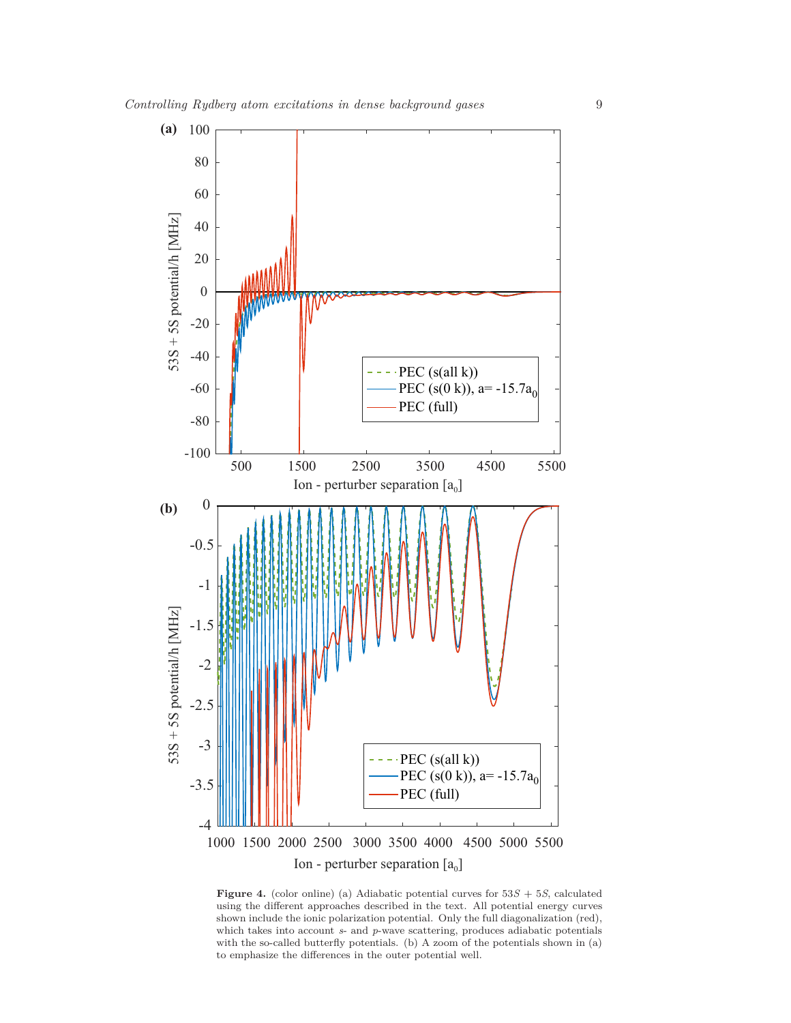

<span id="page-8-0"></span>**Figure 4.** (color online) (a) Adiabatic potential curves for  $53S + 5S$ , calculated using the different approaches described in the text. All potential energy curves shown include the ionic polarization potential. Only the full diagonalization (red), which takes into account *s*- and *p*-wave scattering, produces adiabatic potentials with the so-called butterfly potentials. (b) A zoom of the potentials shown in (a) to emphasize the differences in the outer potential well.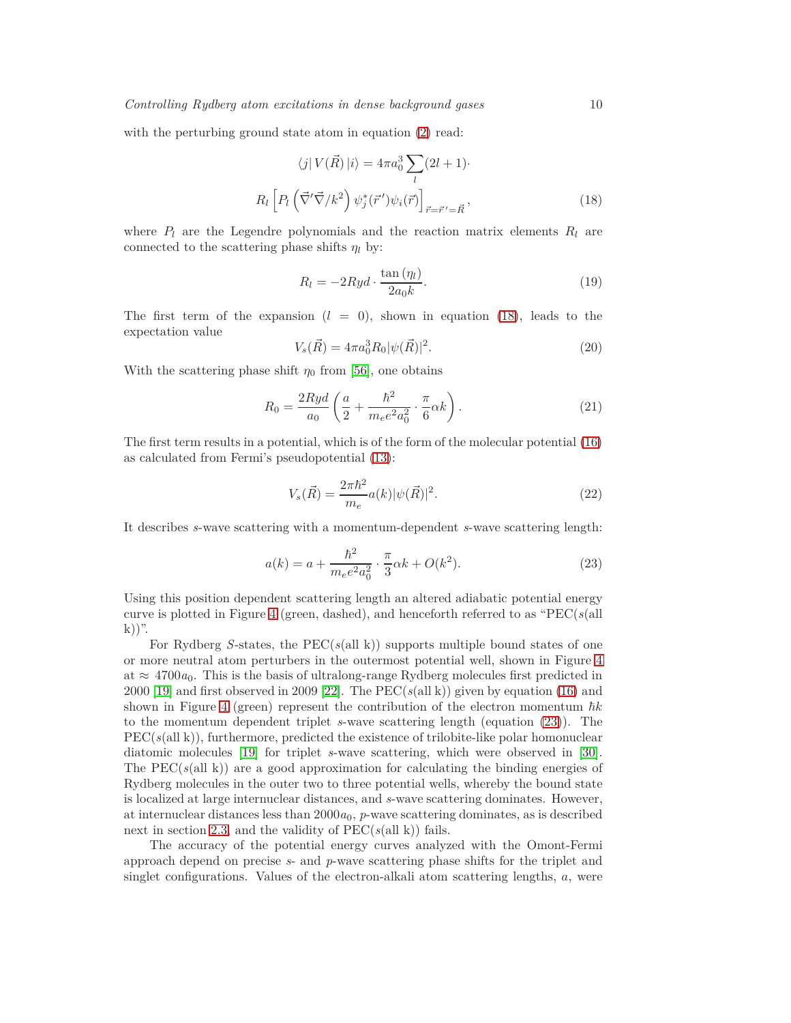with the perturbing ground state atom in equation [\(2\)](#page-3-4) read:

$$
\langle j | V(\vec{R}) | i \rangle = 4\pi a_0^3 \sum_l (2l+1) \cdot R_l \left[ P_l \left( \vec{\nabla'} \vec{\nabla} / k^2 \right) \psi_j^* (\vec{r}') \psi_i (\vec{r}) \right]_{\vec{r} = \vec{r}' = \vec{R}}, \tag{18}
$$

where  $P_l$  are the Legendre polynomials and the reaction matrix elements  $R_l$  are connected to the scattering phase shifts  $\eta_l$  by:

<span id="page-9-0"></span>
$$
R_l = -2Ryd \cdot \frac{\tan(\eta_l)}{2a_0k}.\tag{19}
$$

The first term of the expansion  $(l = 0)$ , shown in equation [\(18\)](#page-9-0), leads to the expectation value

$$
V_s(\vec{R}) = 4\pi a_0^3 R_0 |\psi(\vec{R})|^2.
$$
\n(20)

With the scattering phase shift  $\eta_0$  from [\[56\]](#page-25-30), one obtains

$$
R_0 = \frac{2Ryd}{a_0} \left(\frac{a}{2} + \frac{\hbar^2}{m_e e^2 a_0^2} \cdot \frac{\pi}{6} \alpha k\right). \tag{21}
$$

The first term results in a potential, which is of the form of the molecular potential [\(16\)](#page-7-0) as calculated from Fermi's pseudopotential [\(13\)](#page-6-2):

$$
V_s(\vec{R}) = \frac{2\pi\hbar^2}{m_e}a(k)|\psi(\vec{R})|^2.
$$
\n(22)

It describes *s*-wave scattering with a momentum-dependent *s*-wave scattering length:

<span id="page-9-1"></span>
$$
a(k) = a + \frac{\hbar^2}{m_e e^2 a_0^2} \cdot \frac{\pi}{3} \alpha k + O(k^2).
$$
 (23)

Using this position dependent scattering length an altered adiabatic potential energy curve is plotted in Figure [4](#page-8-0) (green, dashed), and henceforth referred to as "PEC(*s*(all  $(k)$ )".

For Rydberg *S*-states, the PEC(*s*(all k)) supports multiple bound states of one or more neutral atom perturbers in the outermost potential well, shown in Figure [4](#page-8-0) at  $\approx$  4700 $a_0$ . This is the basis of ultralong-range Rydberg molecules first predicted in 2000 [\[19\]](#page-24-18) and first observed in 2009 [\[22\]](#page-24-21). The PEC( $s$ (all k)) given by equation [\(16\)](#page-7-0) and shown in Figure [4](#page-8-0) (green) represent the contribution of the electron momentum  $\hbar k$ to the momentum dependent triplet *s*-wave scattering length (equation [\(23\)](#page-9-1)). The PEC(*s*(all k)), furthermore, predicted the existence of trilobite-like polar homonuclear diatomic molecules [\[19\]](#page-24-18) for triplet *s*-wave scattering, which were observed in [\[30\]](#page-25-4). The  $PEC(s(all k))$  are a good approximation for calculating the binding energies of Rydberg molecules in the outer two to three potential wells, whereby the bound state is localized at large internuclear distances, and *s*-wave scattering dominates. However, at internuclear distances less than  $2000a_0$ ,  $p$ -wave scattering dominates, as is described next in section [2.3,](#page-10-0) and the validity of  $PEC(s(all k))$  fails.

The accuracy of the potential energy curves analyzed with the Omont-Fermi approach depend on precise *s*- and *p*-wave scattering phase shifts for the triplet and singlet configurations. Values of the electron-alkali atom scattering lengths, *a*, were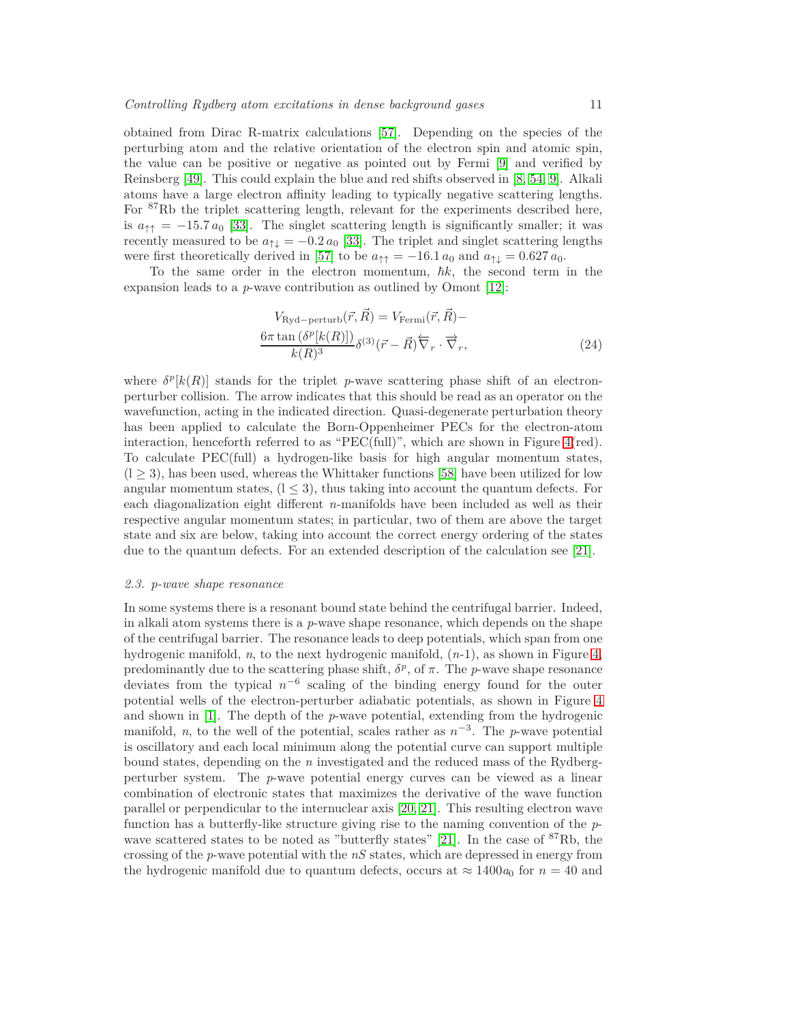obtained from Dirac R-matrix calculations [\[57\]](#page-25-31). Depending on the species of the perturbing atom and the relative orientation of the electron spin and atomic spin, the value can be positive or negative as pointed out by Fermi [\[9\]](#page-24-8) and verified by Reinsberg [\[49\]](#page-25-23). This could explain the blue and red shifts observed in [\[8,](#page-24-7) [54,](#page-25-28) [9\]](#page-24-8). Alkali atoms have a large electron affinity leading to typically negative scattering lengths. For <sup>87</sup>Rb the triplet scattering length, relevant for the experiments described here, is  $a_{\uparrow\uparrow} = -15.7 a_0$  [\[33\]](#page-25-7). The singlet scattering length is significantly smaller; it was recently measured to be  $a_{\uparrow\downarrow} = -0.2 a_0$  [\[33\]](#page-25-7). The triplet and singlet scattering lengths were first theoretically derived in [\[57\]](#page-25-31) to be  $a_{\uparrow\uparrow} = -16.1 a_0$  and  $a_{\uparrow\downarrow} = 0.627 a_0$ .

To the same order in the electron momentum,  $\hbar k$ , the second term in the expansion leads to a *p*-wave contribution as outlined by Omont [\[12\]](#page-24-11):

$$
V_{\text{Ryd-perturb}}(\vec{r}, \vec{R}) = V_{\text{Fermi}}(\vec{r}, \vec{R}) -
$$
  

$$
\frac{6\pi \tan\left(\delta^p[k(R)]\right)}{k(R)^3} \delta^{(3)}(\vec{r} - \vec{R}) \overleftarrow{\nabla}_r \cdot \overrightarrow{\nabla}_r,
$$
 (24)

where  $\delta^{p}[k(R)]$  stands for the triplet *p*-wave scattering phase shift of an electronperturber collision. The arrow indicates that this should be read as an operator on the wavefunction, acting in the indicated direction. Quasi-degenerate perturbation theory has been applied to calculate the Born-Oppenheimer PECs for the electron-atom interaction, henceforth referred to as "PEC(full)", which are shown in Figure [4\(](#page-8-0)red). To calculate PEC(full) a hydrogen-like basis for high angular momentum states,  $(1 \geq 3)$ , has been used, whereas the Whittaker functions [\[58\]](#page-25-32) have been utilized for low angular momentum states,  $(1 \leq 3)$ , thus taking into account the quantum defects. For each diagonalization eight different *n*-manifolds have been included as well as their respective angular momentum states; in particular, two of them are above the target state and six are below, taking into account the correct energy ordering of the states due to the quantum defects. For an extended description of the calculation see [\[21\]](#page-24-20).

## <span id="page-10-0"></span>*2.3. p-wave shape resonance*

In some systems there is a resonant bound state behind the centrifugal barrier. Indeed, in alkali atom systems there is a *p*-wave shape resonance, which depends on the shape of the centrifugal barrier. The resonance leads to deep potentials, which span from one hydrogenic manifold, *n*, to the next hydrogenic manifold, (*n*-1), as shown in Figure [4,](#page-8-0) predominantly due to the scattering phase shift,  $\delta^p$ , of  $\pi$ . The *p*-wave shape resonance deviates from the typical  $n^{-6}$  scaling of the binding energy found for the outer potential wells of the electron-perturber adiabatic potentials, as shown in Figure [4](#page-8-0) and shown in [\[1\]](#page-24-0). The depth of the *p*-wave potential, extending from the hydrogenic manifold, *n*, to the well of the potential, scales rather as  $n^{-3}$ . The *p*-wave potential is oscillatory and each local minimum along the potential curve can support multiple bound states, depending on the *n* investigated and the reduced mass of the Rydbergperturber system. The *p*-wave potential energy curves can be viewed as a linear combination of electronic states that maximizes the derivative of the wave function parallel or perpendicular to the internuclear axis [\[20,](#page-24-19) [21\]](#page-24-20). This resulting electron wave function has a butterfly-like structure giving rise to the naming convention of the *p*-wave scattered states to be noted as "butterfly states" [\[21\]](#page-24-20). In the case of  ${}^{87}Rb$ , the crossing of the *p*-wave potential with the *nS* states, which are depressed in energy from the hydrogenic manifold due to quantum defects, occurs at  $\approx 1400a_0$  for  $n = 40$  and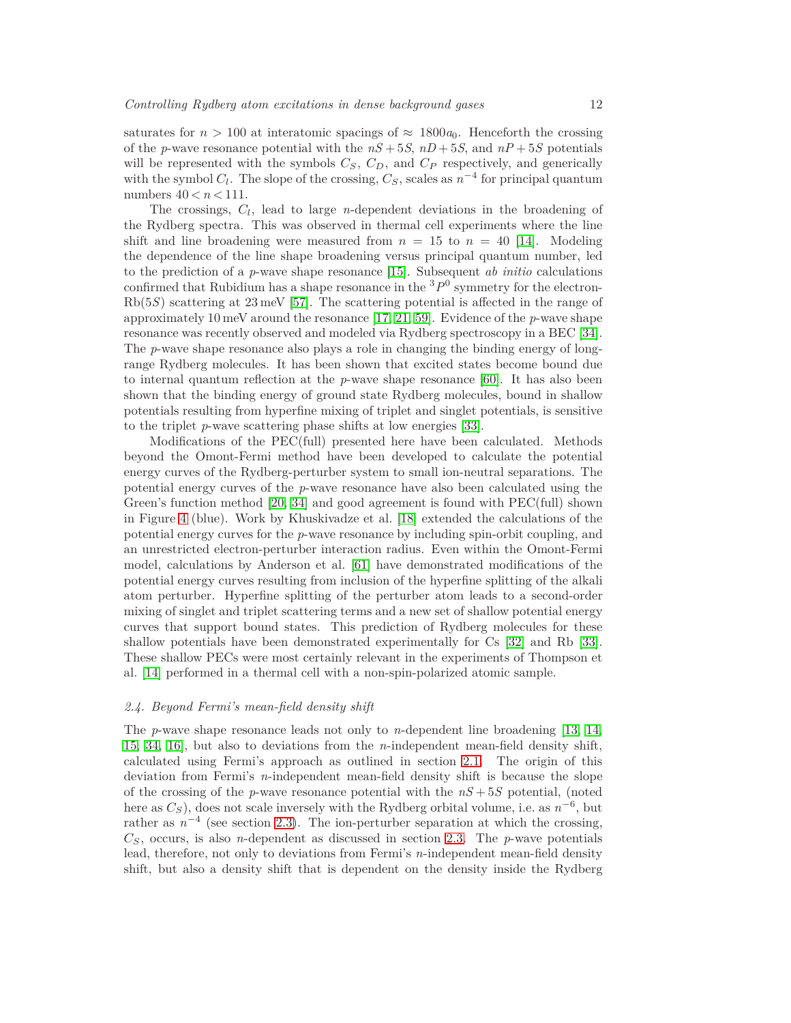saturates for  $n > 100$  at interatomic spacings of  $\approx 1800a_0$ . Henceforth the crossing of the *p*-wave resonance potential with the  $nS + 5S$ ,  $nD + 5S$ , and  $nP + 5S$  potentials will be represented with the symbols  $C_S$ ,  $C_D$ , and  $C_P$  respectively, and generically with the symbol  $C_l$ . The slope of the crossing,  $C_S$ , scales as  $n^{-4}$  for principal quantum numbers 40 *< n <* 111.

The crossings, *C<sup>l</sup>* , lead to large *n*-dependent deviations in the broadening of the Rydberg spectra. This was observed in thermal cell experiments where the line shift and line broadening were measured from  $n = 15$  to  $n = 40$  [\[14\]](#page-24-13). Modeling the dependence of the line shape broadening versus principal quantum number, led to the prediction of a *p*-wave shape resonance [\[15\]](#page-24-14). Subsequent *ab initio* calculations confirmed that Rubidium has a shape resonance in the  $3P<sup>0</sup>$  symmetry for the electron-Rb(5*S*) scattering at 23 meV [\[57\]](#page-25-31). The scattering potential is affected in the range of approximately 10 meV around the resonance [\[17,](#page-24-16) [21,](#page-24-20) [59\]](#page-25-33). Evidence of the *p*-wave shape resonance was recently observed and modeled via Rydberg spectroscopy in a BEC [\[34\]](#page-25-8). The *p*-wave shape resonance also plays a role in changing the binding energy of longrange Rydberg molecules. It has been shown that excited states become bound due to internal quantum reflection at the *p*-wave shape resonance [\[60\]](#page-25-34). It has also been shown that the binding energy of ground state Rydberg molecules, bound in shallow potentials resulting from hyperfine mixing of triplet and singlet potentials, is sensitive to the triplet *p*-wave scattering phase shifts at low energies [\[33\]](#page-25-7).

Modifications of the PEC(full) presented here have been calculated. Methods beyond the Omont-Fermi method have been developed to calculate the potential energy curves of the Rydberg-perturber system to small ion-neutral separations. The potential energy curves of the *p*-wave resonance have also been calculated using the Green's function method [\[20,](#page-24-19) [34\]](#page-25-8) and good agreement is found with PEC(full) shown in Figure [4](#page-8-0) (blue). Work by Khuskivadze et al. [\[18\]](#page-24-17) extended the calculations of the potential energy curves for the *p*-wave resonance by including spin-orbit coupling, and an unrestricted electron-perturber interaction radius. Even within the Omont-Fermi model, calculations by Anderson et al. [\[61\]](#page-25-35) have demonstrated modifications of the potential energy curves resulting from inclusion of the hyperfine splitting of the alkali atom perturber. Hyperfine splitting of the perturber atom leads to a second-order mixing of singlet and triplet scattering terms and a new set of shallow potential energy curves that support bound states. This prediction of Rydberg molecules for these shallow potentials have been demonstrated experimentally for Cs [\[32\]](#page-25-6) and Rb [\[33\]](#page-25-7). These shallow PECs were most certainly relevant in the experiments of Thompson et al. [\[14\]](#page-24-13) performed in a thermal cell with a non-spin-polarized atomic sample.

# <span id="page-11-0"></span>*2.4. Beyond Fermi's mean-field density shift*

The *p*-wave shape resonance leads not only to *n*-dependent line broadening [\[13,](#page-24-12) [14,](#page-24-13) [15,](#page-24-14) [34,](#page-25-8) [16\]](#page-24-15), but also to deviations from the *n*-independent mean-field density shift, calculated using Fermi's approach as outlined in section [2.1.](#page-3-0) The origin of this deviation from Fermi's *n*-independent mean-field density shift is because the slope of the crossing of the *p*-wave resonance potential with the *nS* + 5*S* potential, (noted here as  $C_S$ ), does not scale inversely with the Rydberg orbital volume, i.e. as  $n^{-6}$ , but rather as  $n^{-4}$  (see section [2.3\)](#page-10-0). The ion-perturber separation at which the crossing,  $C<sub>S</sub>$ , occurs, is also *n*-dependent as discussed in section [2.3.](#page-10-0) The *p*-wave potentials lead, therefore, not only to deviations from Fermi's *n*-independent mean-field density shift, but also a density shift that is dependent on the density inside the Rydberg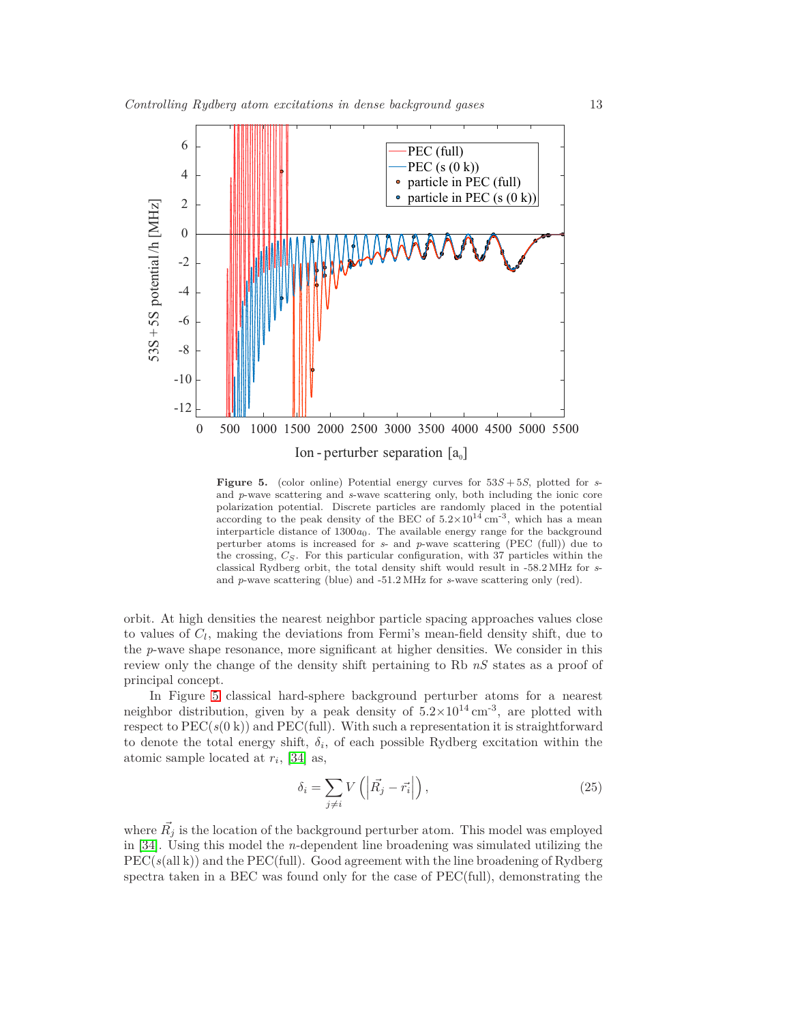

<span id="page-12-0"></span>**Figure 5.** (color online) Potential energy curves for 53*S* + 5*S*, plotted for *s*and *p*-wave scattering and *s*-wave scattering only, both including the ionic core polarization potential. Discrete particles are randomly placed in the potential according to the peak density of the BEC of  $5.2 \times 10^{14}$  cm<sup>-3</sup>, which has a mean interparticle distance of 1300*a*0. The available energy range for the background perturber atoms is increased for *s*- and *p*-wave scattering (PEC (full)) due to the crossing, *CS*. For this particular configuration, with 37 particles within the classical Rydberg orbit, the total density shift would result in -58.2 MHz for *s*and *p*-wave scattering (blue) and -51.2 MHz for *s*-wave scattering only (red).

orbit. At high densities the nearest neighbor particle spacing approaches values close to values of *C<sup>l</sup>* , making the deviations from Fermi's mean-field density shift, due to the *p*-wave shape resonance, more significant at higher densities. We consider in this review only the change of the density shift pertaining to Rb *nS* states as a proof of principal concept.

In Figure [5](#page-12-0) classical hard-sphere background perturber atoms for a nearest neighbor distribution, given by a peak density of  $5.2 \times 10^{14}$  cm<sup>-3</sup>, are plotted with respect to  $PEC(s(0 k))$  and  $PEC(full)$ . With such a representation it is straightforward to denote the total energy shift,  $\delta_i$ , of each possible Rydberg excitation within the atomic sample located at *r<sup>i</sup>* , [\[34\]](#page-25-8) as,

$$
\delta_i = \sum_{j \neq i} V\left(\left|\vec{R_j} - \vec{r_i}\right|\right),\tag{25}
$$

where  $\vec{R}_j$  is the location of the background perturber atom. This model was employed in [\[34\]](#page-25-8). Using this model the *n*-dependent line broadening was simulated utilizing the PEC(*s*(all k)) and the PEC(full). Good agreement with the line broadening of Rydberg spectra taken in a BEC was found only for the case of PEC(full), demonstrating the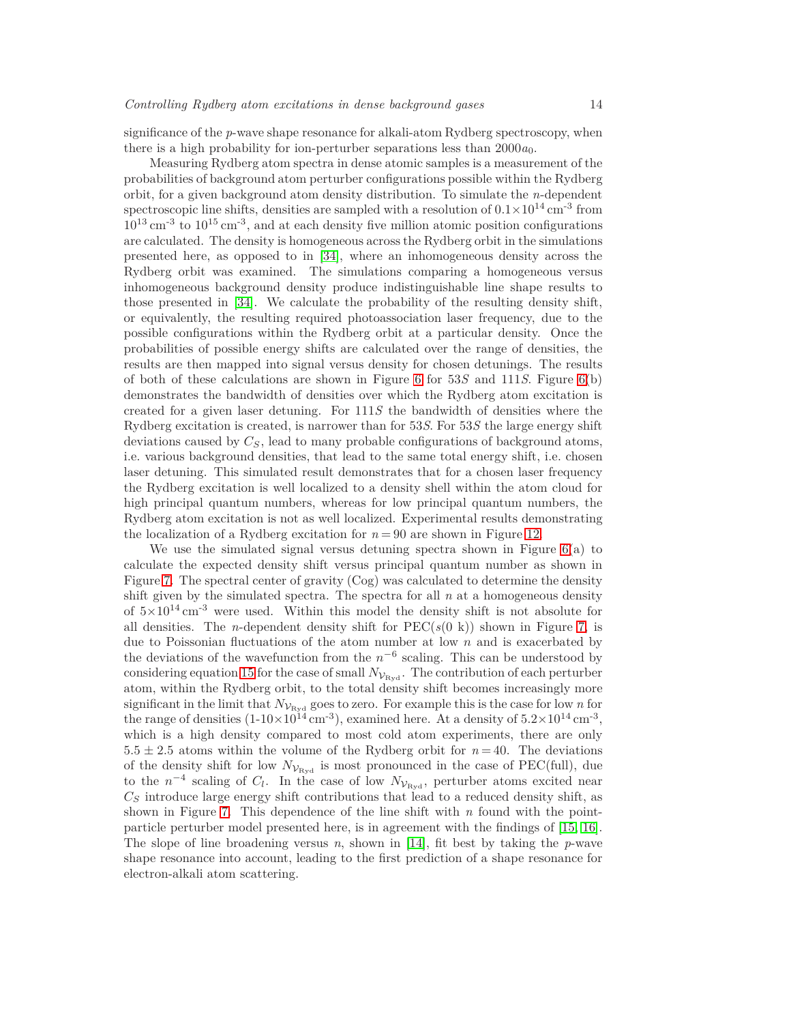significance of the *p*-wave shape resonance for alkali-atom Rydberg spectroscopy, when there is a high probability for ion-perturber separations less than  $2000a_0$ .

Measuring Rydberg atom spectra in dense atomic samples is a measurement of the probabilities of background atom perturber configurations possible within the Rydberg orbit, for a given background atom density distribution. To simulate the *n*-dependent spectroscopic line shifts, densities are sampled with a resolution of  $0.1 \times 10^{14}$  cm<sup>-3</sup> from  $10^{13}$  cm<sup>-3</sup> to  $10^{15}$  cm<sup>-3</sup>, and at each density five million atomic position configurations are calculated. The density is homogeneous across the Rydberg orbit in the simulations presented here, as opposed to in [\[34\]](#page-25-8), where an inhomogeneous density across the Rydberg orbit was examined. The simulations comparing a homogeneous versus inhomogeneous background density produce indistinguishable line shape results to those presented in [\[34\]](#page-25-8). We calculate the probability of the resulting density shift, or equivalently, the resulting required photoassociation laser frequency, due to the possible configurations within the Rydberg orbit at a particular density. Once the probabilities of possible energy shifts are calculated over the range of densities, the results are then mapped into signal versus density for chosen detunings. The results of both of these calculations are shown in Figure [6](#page-14-0) for 53*S* and 111*S*. Figure [6\(](#page-14-0)b) demonstrates the bandwidth of densities over which the Rydberg atom excitation is created for a given laser detuning. For 111*S* the bandwidth of densities where the Rydberg excitation is created, is narrower than for 53*S*. For 53*S* the large energy shift deviations caused by *C<sup>S</sup>* , lead to many probable configurations of background atoms, i.e. various background densities, that lead to the same total energy shift, i.e. chosen laser detuning. This simulated result demonstrates that for a chosen laser frequency the Rydberg excitation is well localized to a density shell within the atom cloud for high principal quantum numbers, whereas for low principal quantum numbers, the Rydberg atom excitation is not as well localized. Experimental results demonstrating the localization of a Rydberg excitation for  $n = 90$  are shown in Figure [12.](#page-23-0)

We use the simulated signal versus detuning spectra shown in Figure  $6(a)$  to calculate the expected density shift versus principal quantum number as shown in Figure [7.](#page-15-0) The spectral center of gravity (Cog) was calculated to determine the density shift given by the simulated spectra. The spectra for all  $n$  at a homogeneous density of  $5\times10^{14}$  cm<sup>-3</sup> were used. Within this model the density shift is not absolute for all densities. The *n*-dependent density shift for  $\text{PEC}(s(0 \text{ k}))$  shown in Figure [7,](#page-15-0) is due to Poissonian fluctuations of the atom number at low *n* and is exacerbated by the deviations of the wavefunction from the  $n^{-6}$  scaling. This can be understood by considering equation [15](#page-7-1) for the case of small  $N_{\mathcal{V}_{\text{Ryd}}}$ . The contribution of each perturber atom, within the Rydberg orbit, to the total density shift becomes increasingly more significant in the limit that  $N_{\mathcal{V}_{\mathrm{Ryd}}}$  goes to zero. For example this is the case for low *n* for the range of densities  $(1\text{-}10\times10^{14}\,\mathrm{cm}^{-3})$ , examined here. At a density of  $5.2\times10^{14}\,\mathrm{cm}^{-3}$ , which is a high density compared to most cold atom experiments, there are only  $5.5 \pm 2.5$  atoms within the volume of the Rydberg orbit for  $n = 40$ . The deviations of the density shift for low  $N_{\mathcal{V}_{\text{Ryd}}}$  is most pronounced in the case of PEC(full), due to the  $n^{-4}$  scaling of  $C_l$ . In the case of low  $N_{\mathcal{V}_{\text{Ryd}}}$ , perturber atoms excited near  $C<sub>S</sub>$  introduce large energy shift contributions that lead to a reduced density shift, as shown in Figure [7.](#page-15-0) This dependence of the line shift with  $n$  found with the pointparticle perturber model presented here, is in agreement with the findings of [\[15,](#page-24-14) [16\]](#page-24-15). The slope of line broadening versus *n*, shown in [\[14\]](#page-24-13), fit best by taking the *p*-wave shape resonance into account, leading to the first prediction of a shape resonance for electron-alkali atom scattering.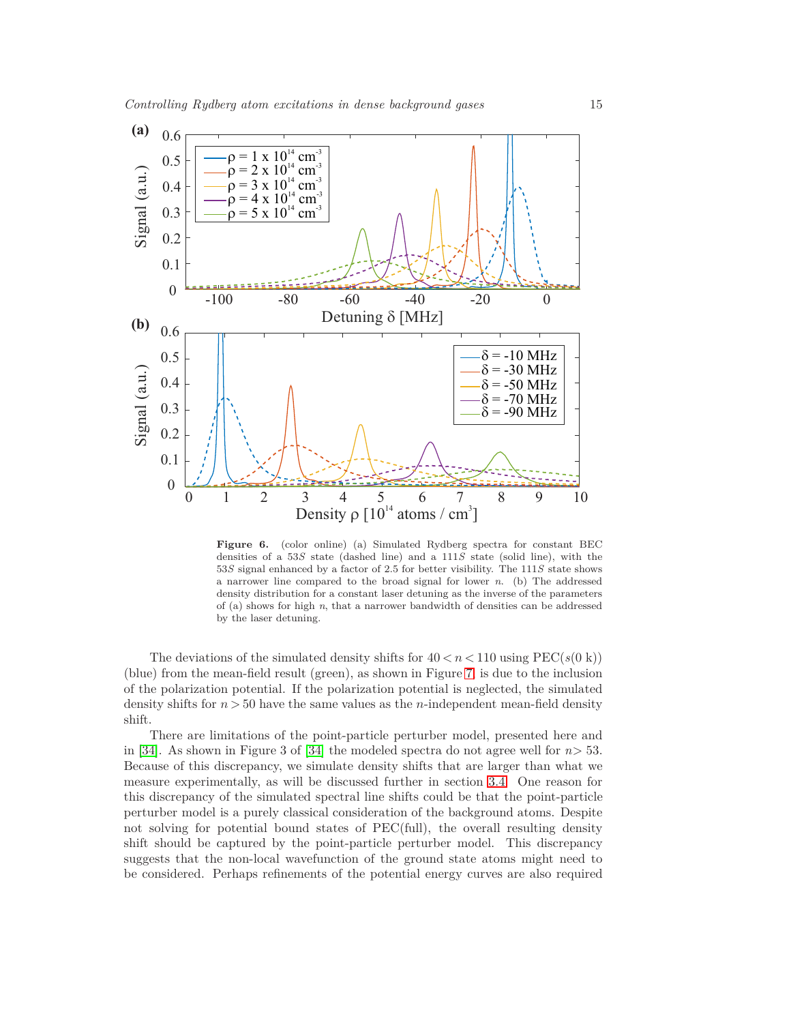

<span id="page-14-0"></span>**Figure 6.** (color online) (a) Simulated Rydberg spectra for constant BEC densities of a 53*S* state (dashed line) and a 111*S* state (solid line), with the 53*S* signal enhanced by a factor of 2.5 for better visibility. The 111*S* state shows a narrower line compared to the broad signal for lower *n*. (b) The addressed density distribution for a constant laser detuning as the inverse of the parameters of (a) shows for high *n*, that a narrower bandwidth of densities can be addressed by the laser detuning.

The deviations of the simulated density shifts for  $40 < n < 110$  using PEC( $s(0 \text{ k})$ ) (blue) from the mean-field result (green), as shown in Figure [7,](#page-15-0) is due to the inclusion of the polarization potential. If the polarization potential is neglected, the simulated density shifts for  $n > 50$  have the same values as the *n*-independent mean-field density shift.

There are limitations of the point-particle perturber model, presented here and in [\[34\]](#page-25-8). As shown in Figure 3 of [34] the modeled spectra do not agree well for  $n > 53$ . Because of this discrepancy, we simulate density shifts that are larger than what we measure experimentally, as will be discussed further in section [3.4.](#page-20-0) One reason for this discrepancy of the simulated spectral line shifts could be that the point-particle perturber model is a purely classical consideration of the background atoms. Despite not solving for potential bound states of PEC(full), the overall resulting density shift should be captured by the point-particle perturber model. This discrepancy suggests that the non-local wavefunction of the ground state atoms might need to be considered. Perhaps refinements of the potential energy curves are also required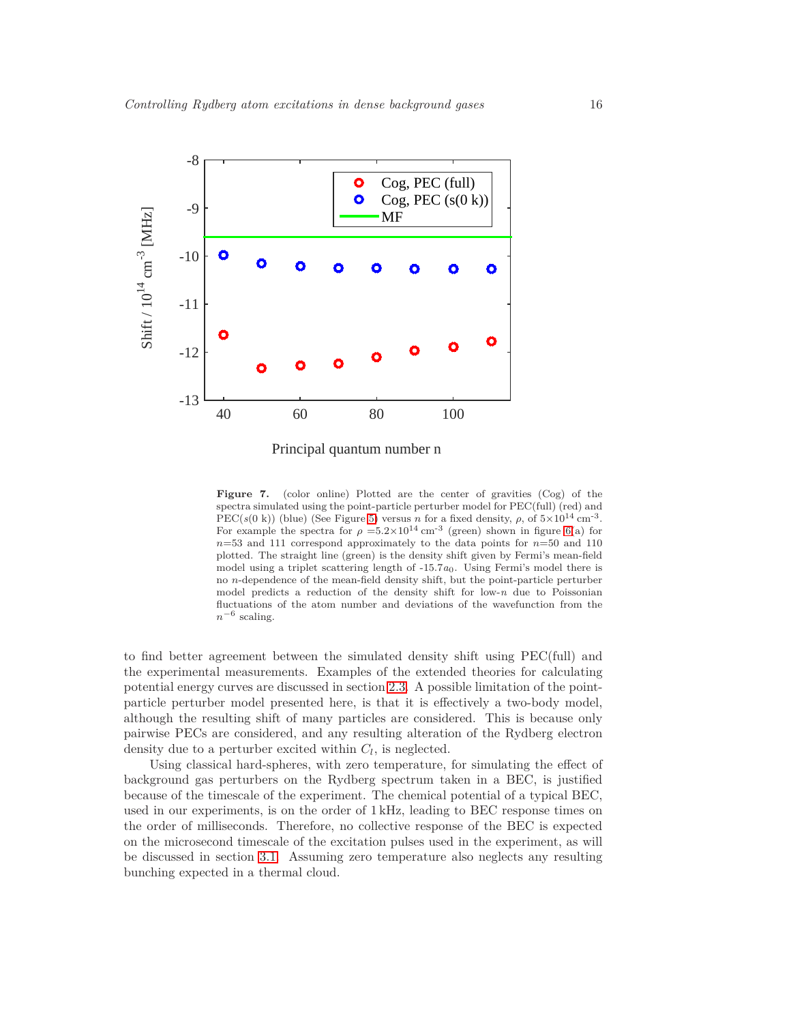

<span id="page-15-0"></span>Principal quantum number n

**Figure 7.** (color online) Plotted are the center of gravities (Cog) of the spectra simulated using the point-particle perturber model for PEC(full) (red) and PEC( $s(0 \text{ k})$ ) (blue) (See Figure [5\)](#page-12-0) versus *n* for a fixed density,  $\rho$ , of  $5 \times 10^{14} \text{ cm}^{-3}$ . For example the spectra for  $\rho = 5.2 \times 10^{14}$  cm<sup>-3</sup> (green) shown in figure [6\(](#page-14-0)a) for  $n=53$  and 111 correspond approximately to the data points for  $n=50$  and 110 plotted. The straight line (green) is the density shift given by Fermi's mean-field model using a triplet scattering length of -15.7*a*0. Using Fermi's model there is no *n*-dependence of the mean-field density shift, but the point-particle perturber model predicts a reduction of the density shift for low-*n* due to Poissonian fluctuations of the atom number and deviations of the wavefunction from the *n*−<sup>6</sup> scaling.

to find better agreement between the simulated density shift using PEC(full) and the experimental measurements. Examples of the extended theories for calculating potential energy curves are discussed in section [2.3.](#page-10-0) A possible limitation of the pointparticle perturber model presented here, is that it is effectively a two-body model, although the resulting shift of many particles are considered. This is because only pairwise PECs are considered, and any resulting alteration of the Rydberg electron density due to a perturber excited within *C<sup>l</sup>* , is neglected.

Using classical hard-spheres, with zero temperature, for simulating the effect of background gas perturbers on the Rydberg spectrum taken in a BEC, is justified because of the timescale of the experiment. The chemical potential of a typical BEC, used in our experiments, is on the order of 1 kHz, leading to BEC response times on the order of milliseconds. Therefore, no collective response of the BEC is expected on the microsecond timescale of the excitation pulses used in the experiment, as will be discussed in section [3.1.](#page-16-0) Assuming zero temperature also neglects any resulting bunching expected in a thermal cloud.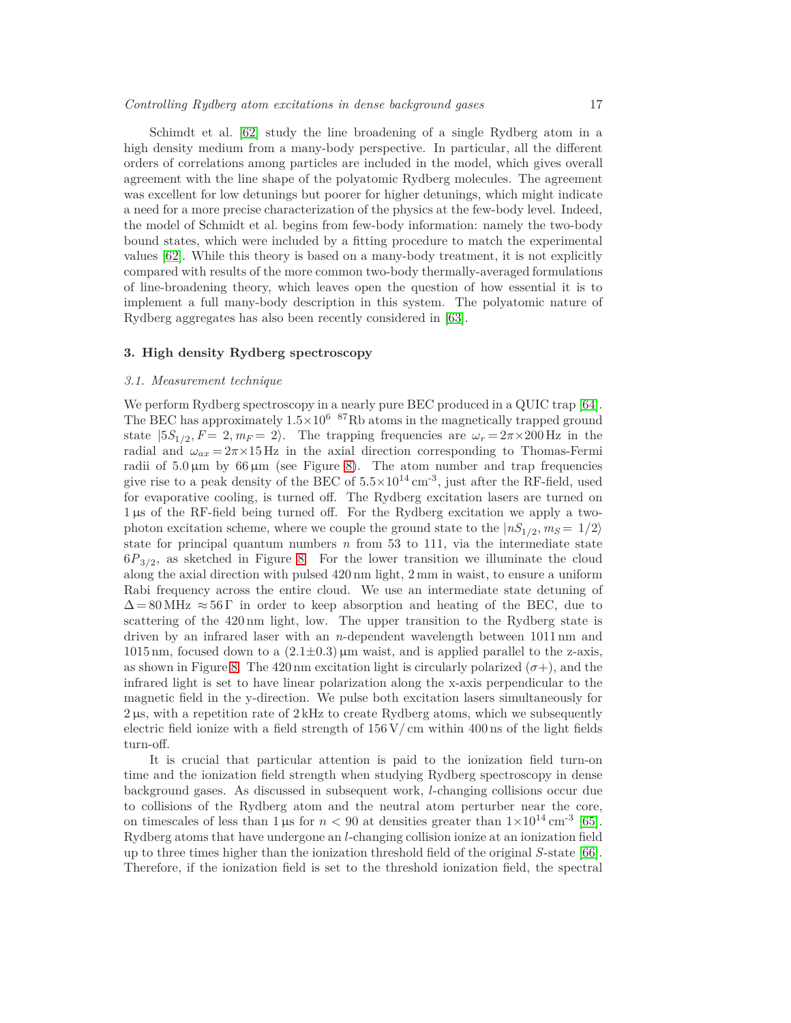Schimdt et al. [\[62\]](#page-25-36) study the line broadening of a single Rydberg atom in a high density medium from a many-body perspective. In particular, all the different orders of correlations among particles are included in the model, which gives overall agreement with the line shape of the polyatomic Rydberg molecules. The agreement was excellent for low detunings but poorer for higher detunings, which might indicate a need for a more precise characterization of the physics at the few-body level. Indeed, the model of Schmidt et al. begins from few-body information: namely the two-body bound states, which were included by a fitting procedure to match the experimental values [\[62\]](#page-25-36). While this theory is based on a many-body treatment, it is not explicitly compared with results of the more common two-body thermally-averaged formulations of line-broadening theory, which leaves open the question of how essential it is to implement a full many-body description in this system. The polyatomic nature of Rydberg aggregates has also been recently considered in [\[63\]](#page-25-37).

# <span id="page-16-0"></span>**3. High density Rydberg spectroscopy**

#### *3.1. Measurement technique*

We perform Rydberg spectroscopy in a nearly pure BEC produced in a QUIC trap [\[64\]](#page-25-38). The BEC has approximately  $1.5 \times 10^6$  <sup>87</sup>Rb atoms in the magnetically trapped ground state  $|5S_{1/2}, F = 2, m_F = 2$ . The trapping frequencies are  $\omega_r = 2\pi \times 200 \,\text{Hz}$  in the radial and  $\omega_{ax} = 2\pi \times 15$  Hz in the axial direction corresponding to Thomas-Fermi radii of  $5.0 \,\mu\text{m}$  by 66  $\mu$ m (see Figure [8\)](#page-17-0). The atom number and trap frequencies give rise to a peak density of the BEC of  $5.5 \times 10^{14}$  cm<sup>-3</sup>, just after the RF-field, used for evaporative cooling, is turned off. The Rydberg excitation lasers are turned on 1 µs of the RF-field being turned off. For the Rydberg excitation we apply a twophoton excitation scheme, where we couple the ground state to the  $|nS_{1/2}, m_S = 1/2\rangle$ state for principal quantum numbers *n* from 53 to 111, via the intermediate state  $6P_{3/2}$ , as sketched in Figure [8.](#page-17-0) For the lower transition we illuminate the cloud along the axial direction with pulsed 420 nm light, 2 mm in waist, to ensure a uniform Rabi frequency across the entire cloud. We use an intermediate state detuning of  $\Delta = 80 \text{ MHz} \approx 56 \text{ T}$  in order to keep absorption and heating of the BEC, due to scattering of the 420 nm light, low. The upper transition to the Rydberg state is driven by an infrared laser with an *n*-dependent wavelength between 1011 nm and 1015 nm, focused down to a  $(2.1\pm0.3)\,\mu\text{m}$  waist, and is applied parallel to the z-axis, as shown in Figure [8.](#page-17-0) The 420 nm excitation light is circularly polarized  $(\sigma+)$ , and the infrared light is set to have linear polarization along the x-axis perpendicular to the magnetic field in the y-direction. We pulse both excitation lasers simultaneously for  $2 \mu s$ , with a repetition rate of  $2 \mu L$  to create Rydberg atoms, which we subsequently electric field ionize with a field strength of 156 V*/* cm within 400 ns of the light fields turn-off.

It is crucial that particular attention is paid to the ionization field turn-on time and the ionization field strength when studying Rydberg spectroscopy in dense background gases. As discussed in subsequent work, *l*-changing collisions occur due to collisions of the Rydberg atom and the neutral atom perturber near the core, on timescales of less than  $1 \mu s$  for  $n < 90$  at densities greater than  $1 \times 10^{14}$  cm<sup>-3</sup> [\[65\]](#page-25-39). Rydberg atoms that have undergone an *l*-changing collision ionize at an ionization field up to three times higher than the ionization threshold field of the original *S*-state [\[66\]](#page-26-0). Therefore, if the ionization field is set to the threshold ionization field, the spectral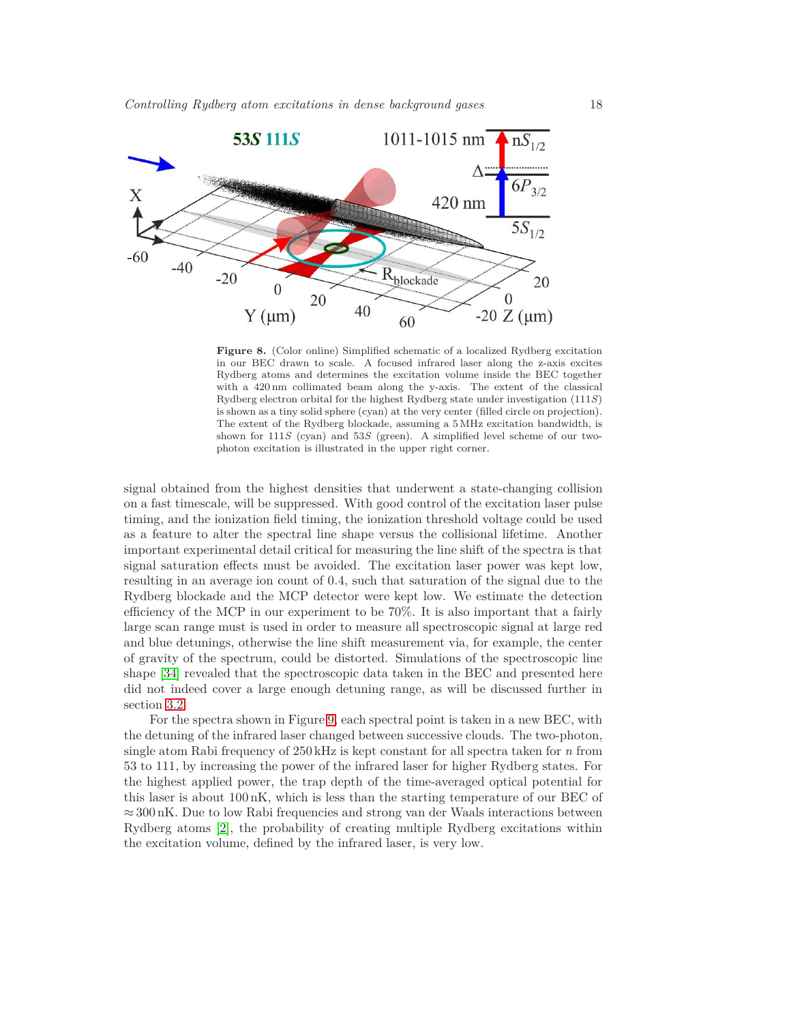

<span id="page-17-0"></span>**Figure 8.** (Color online) Simplified schematic of a localized Rydberg excitation in our BEC drawn to scale. A focused infrared laser along the z-axis excites Rydberg atoms and determines the excitation volume inside the BEC together with a 420 nm collimated beam along the y-axis. The extent of the classical Rydberg electron orbital for the highest Rydberg state under investigation (111*S*) is shown as a tiny solid sphere (cyan) at the very center (filled circle on projection). The extent of the Rydberg blockade, assuming a 5 MHz excitation bandwidth, is shown for 111*S* (cyan) and 53*S* (green). A simplified level scheme of our twophoton excitation is illustrated in the upper right corner.

signal obtained from the highest densities that underwent a state-changing collision on a fast timescale, will be suppressed. With good control of the excitation laser pulse timing, and the ionization field timing, the ionization threshold voltage could be used as a feature to alter the spectral line shape versus the collisional lifetime. Another important experimental detail critical for measuring the line shift of the spectra is that signal saturation effects must be avoided. The excitation laser power was kept low, resulting in an average ion count of 0.4, such that saturation of the signal due to the Rydberg blockade and the MCP detector were kept low. We estimate the detection efficiency of the MCP in our experiment to be 70%. It is also important that a fairly large scan range must is used in order to measure all spectroscopic signal at large red and blue detunings, otherwise the line shift measurement via, for example, the center of gravity of the spectrum, could be distorted. Simulations of the spectroscopic line shape [\[34\]](#page-25-8) revealed that the spectroscopic data taken in the BEC and presented here did not indeed cover a large enough detuning range, as will be discussed further in section [3.2.](#page-18-0)

For the spectra shown in Figure [9,](#page-18-1) each spectral point is taken in a new BEC, with the detuning of the infrared laser changed between successive clouds. The two-photon, single atom Rabi frequency of 250 kHz is kept constant for all spectra taken for *n* from 53 to 111, by increasing the power of the infrared laser for higher Rydberg states. For the highest applied power, the trap depth of the time-averaged optical potential for this laser is about 100 nK, which is less than the starting temperature of our BEC of ≈ 300 nK. Due to low Rabi frequencies and strong van der Waals interactions between Rydberg atoms [\[2\]](#page-24-1), the probability of creating multiple Rydberg excitations within the excitation volume, defined by the infrared laser, is very low.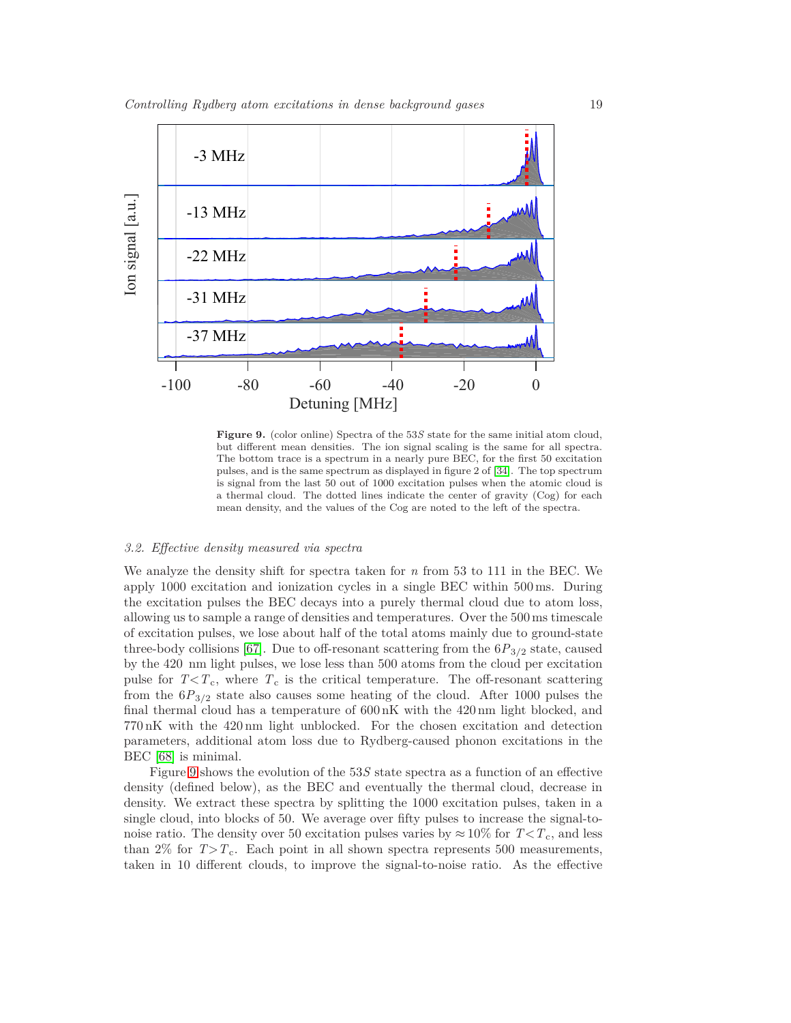

<span id="page-18-1"></span>**Figure 9.** (color online) Spectra of the 53*S* state for the same initial atom cloud, but different mean densities. The ion signal scaling is the same for all spectra. The bottom trace is a spectrum in a nearly pure BEC, for the first 50 excitation pulses, and is the same spectrum as displayed in figure 2 of [\[34\]](#page-25-8). The top spectrum is signal from the last 50 out of 1000 excitation pulses when the atomic cloud is a thermal cloud. The dotted lines indicate the center of gravity (Cog) for each mean density, and the values of the Cog are noted to the left of the spectra.

#### <span id="page-18-0"></span>*3.2. Effective density measured via spectra*

We analyze the density shift for spectra taken for *n* from 53 to 111 in the BEC. We apply 1000 excitation and ionization cycles in a single BEC within 500 ms. During the excitation pulses the BEC decays into a purely thermal cloud due to atom loss, allowing us to sample a range of densities and temperatures. Over the 500 ms timescale of excitation pulses, we lose about half of the total atoms mainly due to ground-state three-body collisions [\[67\]](#page-26-1). Due to off-resonant scattering from the  $6P_{3/2}$  state, caused by the 420 nm light pulses, we lose less than 500 atoms from the cloud per excitation pulse for  $T < T_c$ , where  $T_c$  is the critical temperature. The off-resonant scattering from the  $6P_{3/2}$  state also causes some heating of the cloud. After 1000 pulses the final thermal cloud has a temperature of 600 nK with the 420 nm light blocked, and 770 nK with the 420 nm light unblocked. For the chosen excitation and detection parameters, additional atom loss due to Rydberg-caused phonon excitations in the BEC [\[68\]](#page-26-2) is minimal.

Figure [9](#page-18-1) shows the evolution of the 53*S* state spectra as a function of an effective density (defined below), as the BEC and eventually the thermal cloud, decrease in density. We extract these spectra by splitting the 1000 excitation pulses, taken in a single cloud, into blocks of 50. We average over fifty pulses to increase the signal-tonoise ratio. The density over 50 excitation pulses varies by  $\approx 10\%$  for  $T < T_c$ , and less than 2% for  $T>T_c$ . Each point in all shown spectra represents 500 measurements, taken in 10 different clouds, to improve the signal-to-noise ratio. As the effective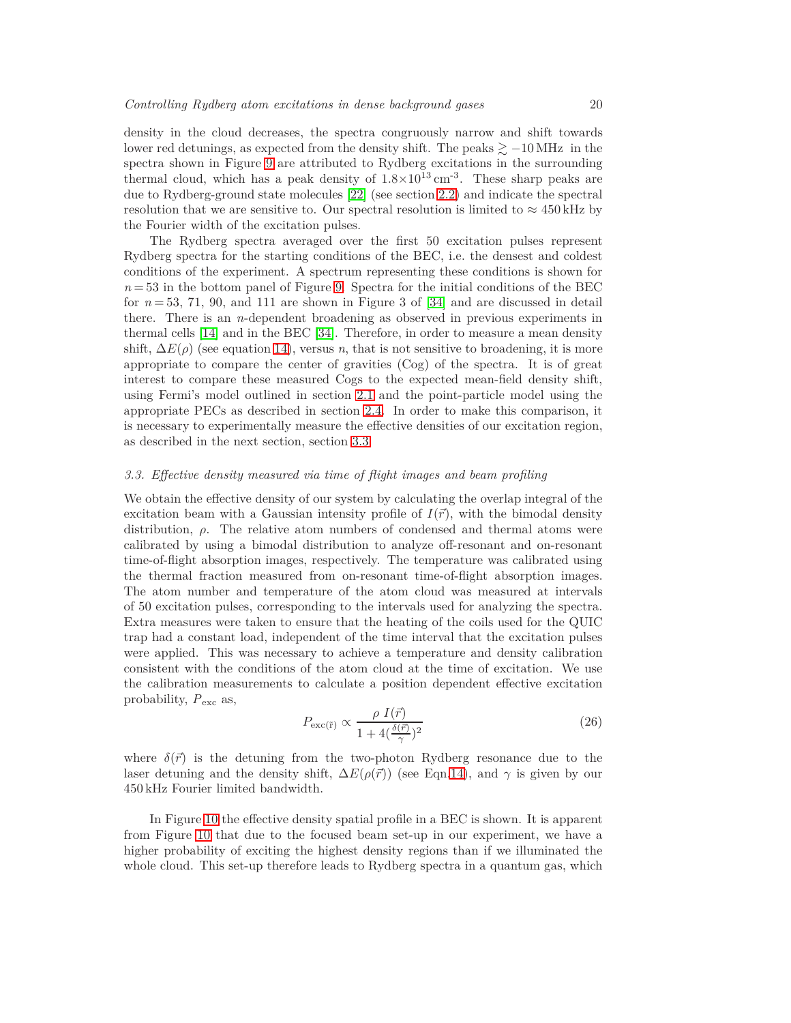density in the cloud decreases, the spectra congruously narrow and shift towards lower red detunings, as expected from the density shift. The peaks  $\geq -10$  MHz in the spectra shown in Figure [9](#page-18-1) are attributed to Rydberg excitations in the surrounding thermal cloud, which has a peak density of  $1.8 \times 10^{13}$  cm<sup>-3</sup>. These sharp peaks are due to Rydberg-ground state molecules [\[22\]](#page-24-21) (see section [2.2\)](#page-7-2) and indicate the spectral resolution that we are sensitive to. Our spectral resolution is limited to  $\approx 450 \text{ kHz}$  by the Fourier width of the excitation pulses.

The Rydberg spectra averaged over the first 50 excitation pulses represent Rydberg spectra for the starting conditions of the BEC, i.e. the densest and coldest conditions of the experiment. A spectrum representing these conditions is shown for  $n = 53$  in the bottom panel of Figure [9.](#page-18-1) Spectra for the initial conditions of the BEC for  $n = 53$ , 71, 90, and 111 are shown in Figure 3 of  $[34]$  and are discussed in detail there. There is an *n*-dependent broadening as observed in previous experiments in thermal cells [\[14\]](#page-24-13) and in the BEC [\[34\]](#page-25-8). Therefore, in order to measure a mean density shift,  $\Delta E(\rho)$  (see equation [14\)](#page-6-3), versus *n*, that is not sensitive to broadening, it is more appropriate to compare the center of gravities (Cog) of the spectra. It is of great interest to compare these measured Cogs to the expected mean-field density shift, using Fermi's model outlined in section [2.1](#page-3-0) and the point-particle model using the appropriate PECs as described in section [2.4.](#page-11-0) In order to make this comparison, it is necessary to experimentally measure the effective densities of our excitation region, as described in the next section, section [3.3.](#page-19-0)

# <span id="page-19-0"></span>*3.3. Effective density measured via time of flight images and beam profiling*

We obtain the effective density of our system by calculating the overlap integral of the excitation beam with a Gaussian intensity profile of  $I(\vec{r})$ , with the bimodal density distribution,  $\rho$ . The relative atom numbers of condensed and thermal atoms were calibrated by using a bimodal distribution to analyze off-resonant and on-resonant time-of-flight absorption images, respectively. The temperature was calibrated using the thermal fraction measured from on-resonant time-of-flight absorption images. The atom number and temperature of the atom cloud was measured at intervals of 50 excitation pulses, corresponding to the intervals used for analyzing the spectra. Extra measures were taken to ensure that the heating of the coils used for the QUIC trap had a constant load, independent of the time interval that the excitation pulses were applied. This was necessary to achieve a temperature and density calibration consistent with the conditions of the atom cloud at the time of excitation. We use the calibration measurements to calculate a position dependent effective excitation probability, *P*exc as,

<span id="page-19-1"></span>
$$
P_{\text{exc}(\tilde{r})} \propto \frac{\rho \ I(\vec{r})}{1 + 4(\frac{\delta(\vec{r})}{\gamma})^2} \tag{26}
$$

where  $\delta(\vec{r})$  is the detuning from the two-photon Rydberg resonance due to the laser detuning and the density shift,  $\Delta E(\rho(\vec{r}))$  (see Eqn[.14\)](#page-6-3), and  $\gamma$  is given by our 450 kHz Fourier limited bandwidth.

In Figure [10](#page-20-1) the effective density spatial profile in a BEC is shown. It is apparent from Figure [10](#page-20-1) that due to the focused beam set-up in our experiment, we have a higher probability of exciting the highest density regions than if we illuminated the whole cloud. This set-up therefore leads to Rydberg spectra in a quantum gas, which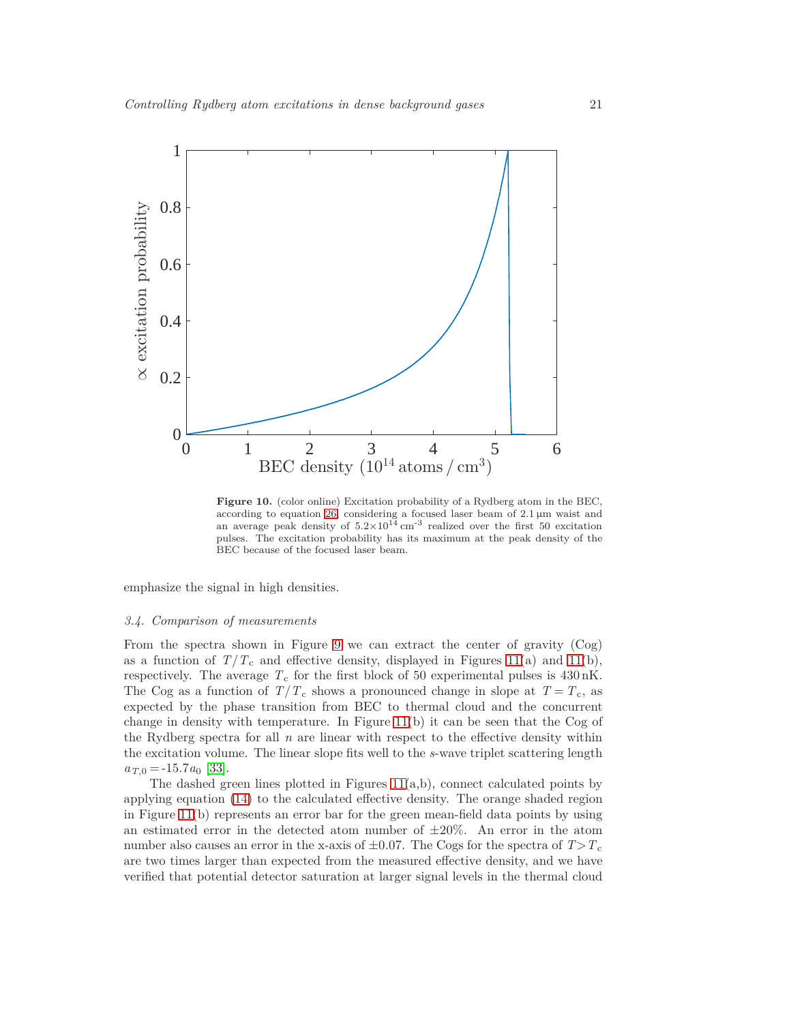

<span id="page-20-1"></span>**Figure 10.** (color online) Excitation probability of a Rydberg atom in the BEC, according to equation [26,](#page-19-1) considering a focused laser beam of 2.1 µm waist and an average peak density of  $5.2\times10^{14}$  cm<sup>-3</sup> realized over the first 50 excitation pulses. The excitation probability has its maximum at the peak density of the BEC because of the focused laser beam.

emphasize the signal in high densities.

## <span id="page-20-0"></span>*3.4. Comparison of measurements*

From the spectra shown in Figure [9](#page-18-1) we can extract the center of gravity (Cog) as a function of  $T/T_c$  and effective density, displayed in Figures [11\(](#page-21-0)a) and 11(b), respectively. The average  $T_c$  for the first block of 50 experimental pulses is  $430 \text{ nK}$ . The Cog as a function of  $T/T_c$  shows a pronounced change in slope at  $T = T_c$ , as expected by the phase transition from BEC to thermal cloud and the concurrent change in density with temperature. In Figure  $11(b)$  it can be seen that the Cog of the Rydberg spectra for all *n* are linear with respect to the effective density within the excitation volume. The linear slope fits well to the *s*-wave triplet scattering length  $a_{T,0} = -15.7a_0$  [\[33\]](#page-25-7).

The dashed green lines plotted in Figures [11\(](#page-21-0)a,b), connect calculated points by applying equation [\(14\)](#page-6-3) to the calculated effective density. The orange shaded region in Figure [11\(](#page-21-0)b) represents an error bar for the green mean-field data points by using an estimated error in the detected atom number of  $\pm 20\%$ . An error in the atom number also causes an error in the x-axis of  $\pm 0.07$ . The Cogs for the spectra of  $T>T_c$ are two times larger than expected from the measured effective density, and we have verified that potential detector saturation at larger signal levels in the thermal cloud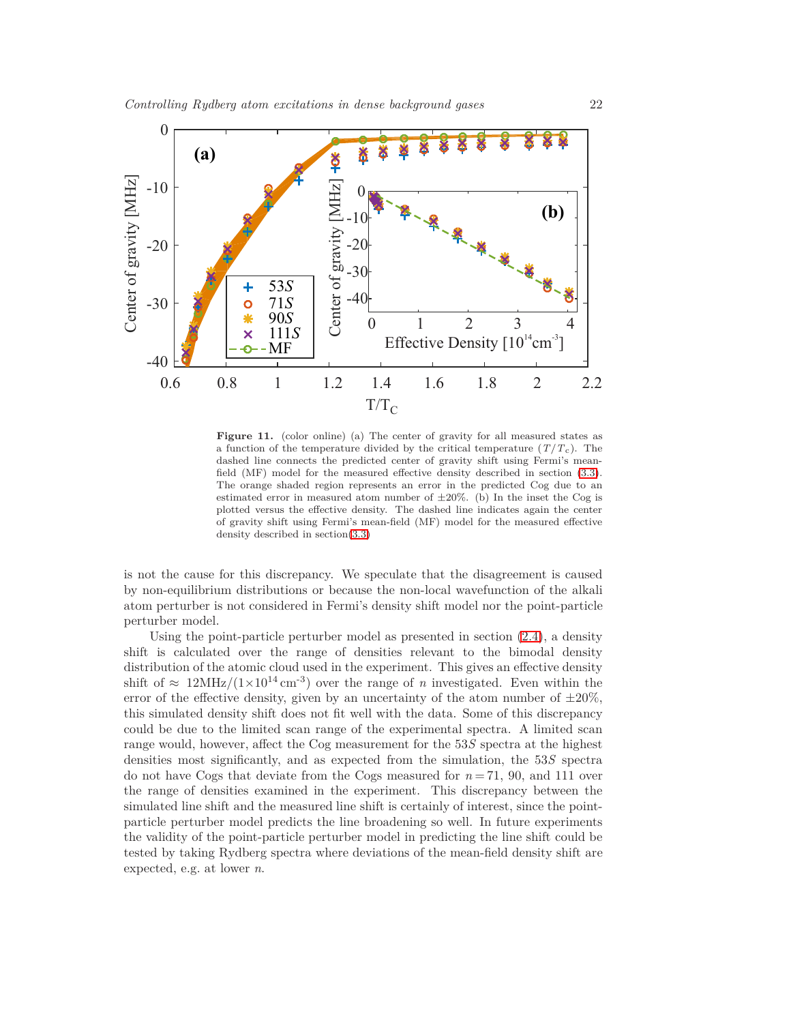

<span id="page-21-0"></span>**Figure 11.** (color online) (a) The center of gravity for all measured states as a function of the temperature divided by the critical temperature  $(T/T_c)$ . The dashed line connects the predicted center of gravity shift using Fermi's meanfield (MF) model for the measured effective density described in section [\(3.3\)](#page-19-0). The orange shaded region represents an error in the predicted Cog due to an estimated error in measured atom number of  $\pm 20\%$ . (b) In the inset the Cog is plotted versus the effective density. The dashed line indicates again the center of gravity shift using Fermi's mean-field (MF) model for the measured effective density described in section[\(3.3\)](#page-19-0)

is not the cause for this discrepancy. We speculate that the disagreement is caused by non-equilibrium distributions or because the non-local wavefunction of the alkali atom perturber is not considered in Fermi's density shift model nor the point-particle perturber model.

Using the point-particle perturber model as presented in section  $(2.4)$ , a density shift is calculated over the range of densities relevant to the bimodal density distribution of the atomic cloud used in the experiment. This gives an effective density shift of  $\approx 12\text{MHz}/(1\times10^{14}\text{cm}^{-3})$  over the range of *n* investigated. Even within the error of the effective density, given by an uncertainty of the atom number of  $\pm 20\%$ , this simulated density shift does not fit well with the data. Some of this discrepancy could be due to the limited scan range of the experimental spectra. A limited scan range would, however, affect the Cog measurement for the 53*S* spectra at the highest densities most significantly, and as expected from the simulation, the 53*S* spectra do not have Cogs that deviate from the Cogs measured for  $n = 71$ , 90, and 111 over the range of densities examined in the experiment. This discrepancy between the simulated line shift and the measured line shift is certainly of interest, since the pointparticle perturber model predicts the line broadening so well. In future experiments the validity of the point-particle perturber model in predicting the line shift could be tested by taking Rydberg spectra where deviations of the mean-field density shift are expected, e.g. at lower *n*.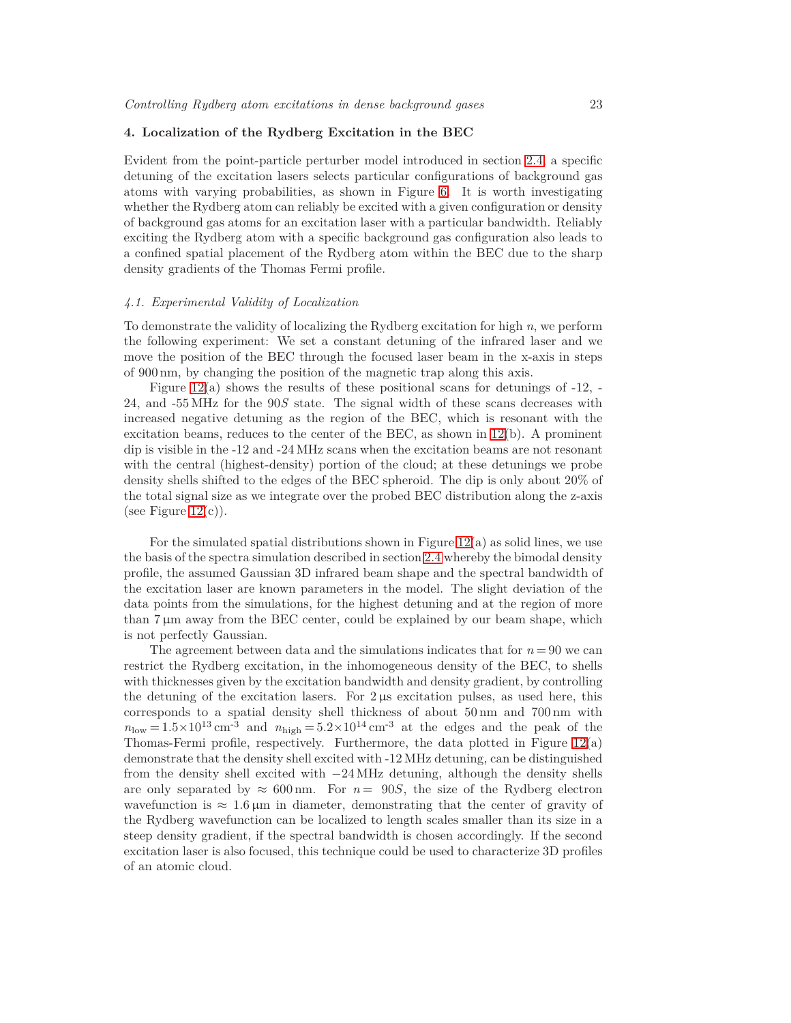#### <span id="page-22-0"></span>**4. Localization of the Rydberg Excitation in the BEC**

Evident from the point-particle perturber model introduced in section [2.4,](#page-11-0) a specific detuning of the excitation lasers selects particular configurations of background gas atoms with varying probabilities, as shown in Figure [6.](#page-14-0) It is worth investigating whether the Rydberg atom can reliably be excited with a given configuration or density of background gas atoms for an excitation laser with a particular bandwidth. Reliably exciting the Rydberg atom with a specific background gas configuration also leads to a confined spatial placement of the Rydberg atom within the BEC due to the sharp density gradients of the Thomas Fermi profile.

#### *4.1. Experimental Validity of Localization*

To demonstrate the validity of localizing the Rydberg excitation for high *n*, we perform the following experiment: We set a constant detuning of the infrared laser and we move the position of the BEC through the focused laser beam in the x-axis in steps of 900 nm, by changing the position of the magnetic trap along this axis.

Figure [12\(](#page-23-0)a) shows the results of these positional scans for detunings of -12, - 24, and -55 MHz for the 90*S* state. The signal width of these scans decreases with increased negative detuning as the region of the BEC, which is resonant with the excitation beams, reduces to the center of the BEC, as shown in  $12(b)$ . A prominent dip is visible in the -12 and -24 MHz scans when the excitation beams are not resonant with the central (highest-density) portion of the cloud; at these detunings we probe density shells shifted to the edges of the BEC spheroid. The dip is only about 20% of the total signal size as we integrate over the probed BEC distribution along the z-axis (see Figure  $12(c)$ ).

For the simulated spatial distributions shown in Figure  $12(a)$  as solid lines, we use the basis of the spectra simulation described in section [2.4](#page-11-0) whereby the bimodal density profile, the assumed Gaussian 3D infrared beam shape and the spectral bandwidth of the excitation laser are known parameters in the model. The slight deviation of the data points from the simulations, for the highest detuning and at the region of more than  $7 \mu m$  away from the BEC center, could be explained by our beam shape, which is not perfectly Gaussian.

The agreement between data and the simulations indicates that for *n* = 90 we can restrict the Rydberg excitation, in the inhomogeneous density of the BEC, to shells with thicknesses given by the excitation bandwidth and density gradient, by controlling the detuning of the excitation lasers. For 2 µs excitation pulses, as used here, this corresponds to a spatial density shell thickness of about 50 nm and 700 nm with  $n_{\text{low}} = 1.5 \times 10^{13} \text{ cm}^{-3}$  and  $n_{\text{high}} = 5.2 \times 10^{14} \text{ cm}^{-3}$  at the edges and the peak of the Thomas-Fermi profile, respectively. Furthermore, the data plotted in Figure [12\(](#page-23-0)a) demonstrate that the density shell excited with -12 MHz detuning, can be distinguished from the density shell excited with  $-24 \text{ MHz}$  detuning, although the density shells are only separated by  $\approx 600 \text{ nm}$ . For  $n = 90S$ , the size of the Rydberg electron wavefunction is  $\approx 1.6 \,\mu\text{m}$  in diameter, demonstrating that the center of gravity of the Rydberg wavefunction can be localized to length scales smaller than its size in a steep density gradient, if the spectral bandwidth is chosen accordingly. If the second excitation laser is also focused, this technique could be used to characterize 3D profiles of an atomic cloud.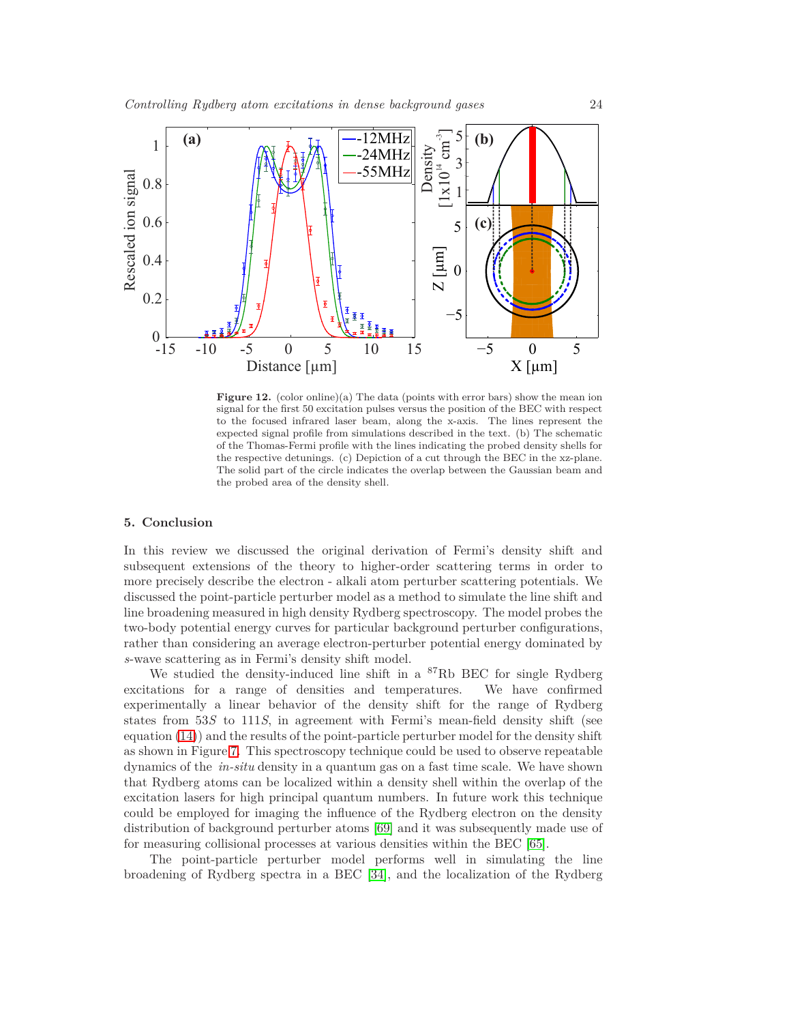

<span id="page-23-0"></span>**Figure 12.** (color online)(a) The data (points with error bars) show the mean ion signal for the first 50 excitation pulses versus the position of the BEC with respect to the focused infrared laser beam, along the x-axis. The lines represent the expected signal profile from simulations described in the text. (b) The schematic of the Thomas-Fermi profile with the lines indicating the probed density shells for the respective detunings. (c) Depiction of a cut through the BEC in the xz-plane. The solid part of the circle indicates the overlap between the Gaussian beam and the probed area of the density shell.

## **5. Conclusion**

In this review we discussed the original derivation of Fermi's density shift and subsequent extensions of the theory to higher-order scattering terms in order to more precisely describe the electron - alkali atom perturber scattering potentials. We discussed the point-particle perturber model as a method to simulate the line shift and line broadening measured in high density Rydberg spectroscopy. The model probes the two-body potential energy curves for particular background perturber configurations, rather than considering an average electron-perturber potential energy dominated by *s*-wave scattering as in Fermi's density shift model.

We studied the density-induced line shift in a  ${}^{87}$ Rb BEC for single Rydberg excitations for a range of densities and temperatures. We have confirmed experimentally a linear behavior of the density shift for the range of Rydberg states from 53*S* to 111*S*, in agreement with Fermi's mean-field density shift (see equation [\(14\)](#page-6-3)) and the results of the point-particle perturber model for the density shift as shown in Figure [7.](#page-15-0) This spectroscopy technique could be used to observe repeatable dynamics of the *in-situ* density in a quantum gas on a fast time scale. We have shown that Rydberg atoms can be localized within a density shell within the overlap of the excitation lasers for high principal quantum numbers. In future work this technique could be employed for imaging the influence of the Rydberg electron on the density distribution of background perturber atoms [\[69\]](#page-26-3) and it was subsequently made use of for measuring collisional processes at various densities within the BEC [\[65\]](#page-25-39).

The point-particle perturber model performs well in simulating the line broadening of Rydberg spectra in a BEC [\[34\]](#page-25-8), and the localization of the Rydberg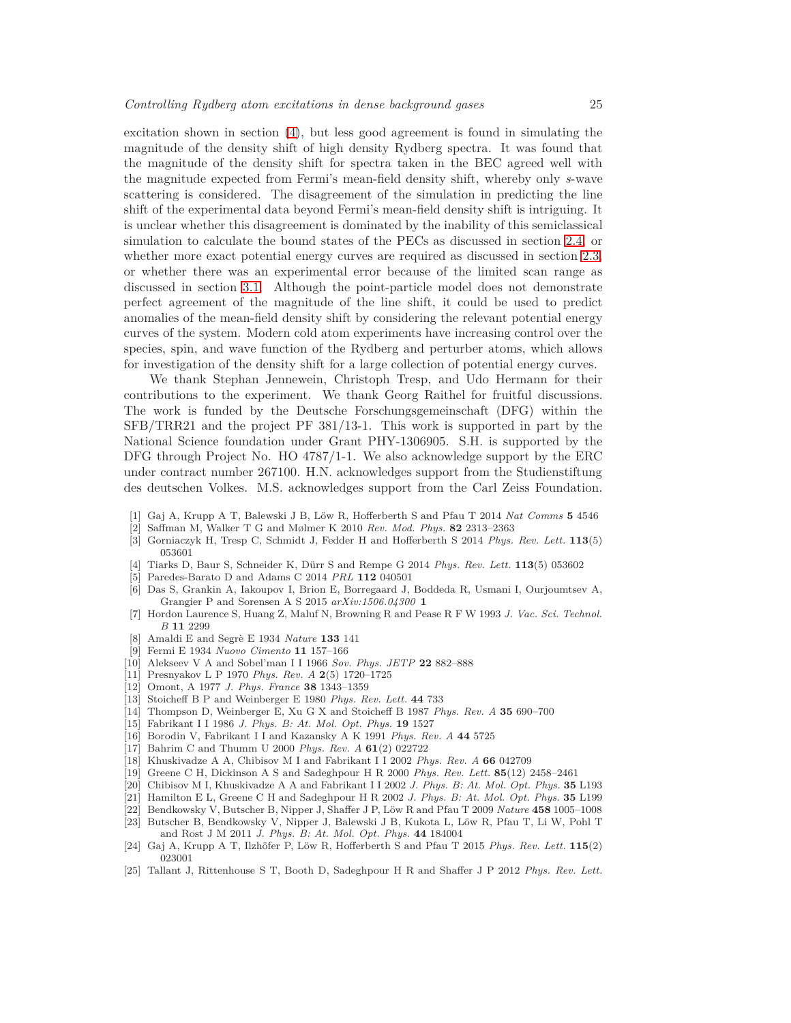excitation shown in section [\(4\)](#page-22-0), but less good agreement is found in simulating the magnitude of the density shift of high density Rydberg spectra. It was found that the magnitude of the density shift for spectra taken in the BEC agreed well with the magnitude expected from Fermi's mean-field density shift, whereby only *s*-wave scattering is considered. The disagreement of the simulation in predicting the line shift of the experimental data beyond Fermi's mean-field density shift is intriguing. It is unclear whether this disagreement is dominated by the inability of this semiclassical simulation to calculate the bound states of the PECs as discussed in section [2.4,](#page-11-0) or whether more exact potential energy curves are required as discussed in section [2.3,](#page-10-0) or whether there was an experimental error because of the limited scan range as discussed in section [3.1.](#page-16-0) Although the point-particle model does not demonstrate perfect agreement of the magnitude of the line shift, it could be used to predict anomalies of the mean-field density shift by considering the relevant potential energy curves of the system. Modern cold atom experiments have increasing control over the species, spin, and wave function of the Rydberg and perturber atoms, which allows for investigation of the density shift for a large collection of potential energy curves.

We thank Stephan Jennewein, Christoph Tresp, and Udo Hermann for their contributions to the experiment. We thank Georg Raithel for fruitful discussions. The work is funded by the Deutsche Forschungsgemeinschaft (DFG) within the SFB/TRR21 and the project PF 381/13-1. This work is supported in part by the National Science foundation under Grant PHY-1306905. S.H. is supported by the DFG through Project No. HO 4787/1-1. We also acknowledge support by the ERC under contract number 267100. H.N. acknowledges support from the Studienstiftung des deutschen Volkes. M.S. acknowledges support from the Carl Zeiss Foundation.

- <span id="page-24-1"></span><span id="page-24-0"></span>[1] Gaj A, Krupp A T, Balewski J B, L¨ow R, Hofferberth S and Pfau T 2014 *Nat Comms* **5** 4546
- <span id="page-24-2"></span>[2] Saffman M, Walker T G and Mølmer K 2010 *Rev. Mod. Phys.* **82** 2313–2363
- <span id="page-24-3"></span>[3] Gorniaczyk H, Tresp C, Schmidt J, Fedder H and Hofferberth S 2014 *Phys. Rev. Lett.* **113**(5) 053601
- <span id="page-24-4"></span>[4] Tiarks D, Baur S, Schneider K, D¨urr S and Rempe G 2014 *Phys. Rev. Lett.* **113**(5) 053602
- <span id="page-24-5"></span>[5] Paredes-Barato D and Adams C 2014 *PRL* **112** 040501
- [6] Das S, Grankin A, Iakoupov I, Brion E, Borregaard J, Boddeda R, Usmani I, Ourjoumtsev A, Grangier P and Sorensen A S 2015 *arXiv:1506.04300* **1**
- <span id="page-24-6"></span>[7] Hordon Laurence S, Huang Z, Maluf N, Browning R and Pease R F W 1993 *J. Vac. Sci. Technol. B* **11** 2299
- <span id="page-24-8"></span><span id="page-24-7"></span>[8] Amaldi E and Segr`e E 1934 *Nature* **133** 141
- <span id="page-24-9"></span>[9] Fermi E 1934 *Nuovo Cimento* **11** 157–166
- <span id="page-24-10"></span>[10] Alekseev V A and Sobel'man I I 1966 *Sov. Phys. JETP* **22** 882–888
- <span id="page-24-11"></span>[11] Presnyakov L P 1970 *Phys. Rev. A* **2**(5) 1720–1725
- <span id="page-24-12"></span>[12] Omont, A 1977 *J. Phys. France* **38** 1343–1359
- <span id="page-24-13"></span>[13] Stoicheff B P and Weinberger E 1980 *Phys. Rev. Lett.* **44** 733
- <span id="page-24-14"></span>[14] Thompson D, Weinberger E, Xu G X and Stoicheff B 1987 *Phys. Rev. A* **35** 690–700
- <span id="page-24-15"></span>[15] Fabrikant I I 1986 *J. Phys. B: At. Mol. Opt. Phys.* **19** 1527
- <span id="page-24-16"></span>[16] Borodin V, Fabrikant I I and Kazansky A K 1991 *Phys. Rev. A* **44** 5725
- <span id="page-24-17"></span>[17] Bahrim C and Thumm U 2000 *Phys. Rev. A* **61**(2) 022722
- <span id="page-24-18"></span>[18] Khuskivadze A A, Chibisov M I and Fabrikant I I 2002 *Phys. Rev. A* **66** 042709
- <span id="page-24-19"></span>[19] Greene C H, Dickinson A S and Sadeghpour H R 2000 *Phys. Rev. Lett.* **85**(12) 2458–2461
- <span id="page-24-20"></span>[20] Chibisov M I, Khuskivadze A A and Fabrikant I I 2002 *J. Phys. B: At. Mol. Opt. Phys.* **35** L193
- <span id="page-24-21"></span>[21] Hamilton E L, Greene C H and Sadeghpour H R 2002 *J. Phys. B: At. Mol. Opt. Phys.* **35** L199
- <span id="page-24-22"></span>[22] Bendkowsky V, Butscher B, Nipper J, Shaffer J P, L¨ow R and Pfau T 2009 *Nature* **458** 1005–1008
- [23] Butscher B, Bendkowsky V, Nipper J, Balewski J B, Kukota L, Löw R, Pfau T, Li W, Pohl T and Rost J M 2011 *J. Phys. B: At. Mol. Opt. Phys.* **44** 184004
- <span id="page-24-23"></span>[24] Gaj A, Krupp A T, Ilzhöfer P, Löw R, Hofferberth S and Pfau T 2015 *Phys. Rev. Lett.* **115**(2) 023001
- <span id="page-24-24"></span>[25] Tallant J, Rittenhouse S T, Booth D, Sadeghpour H R and Shaffer J P 2012 *Phys. Rev. Lett.*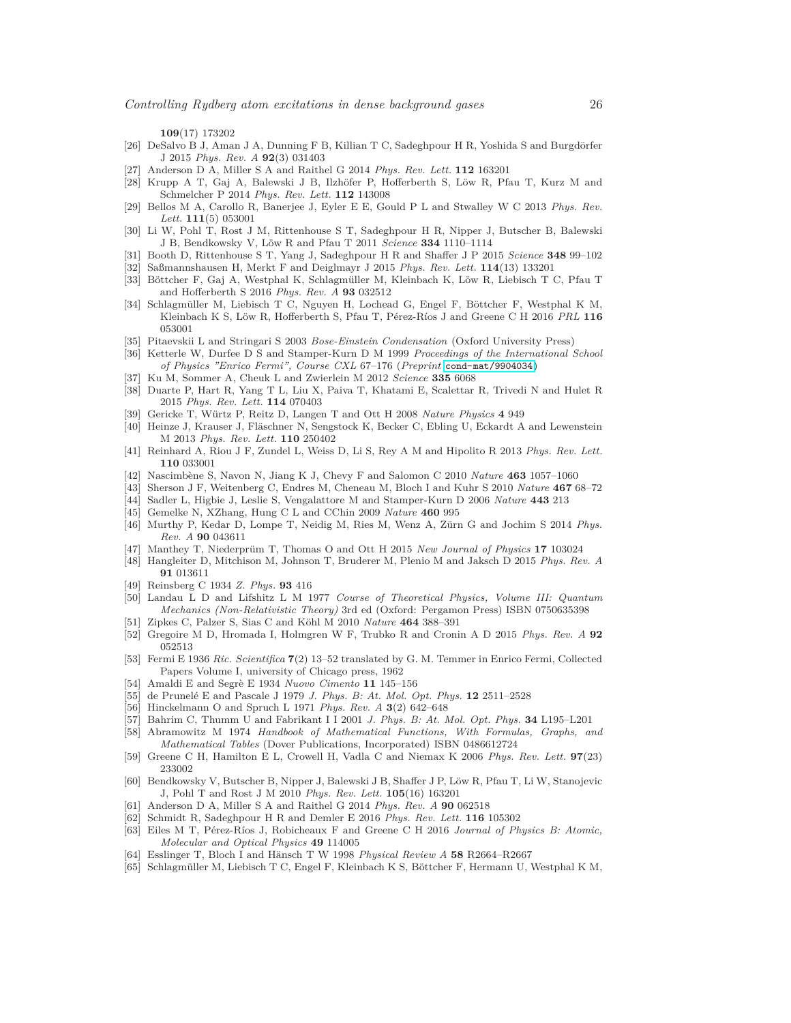**109**(17) 173202

- <span id="page-25-0"></span>[26] DeSalvo B J, Aman J A, Dunning F B, Killian T C, Sadeghpour H R, Yoshida S and Burgdörfer J 2015 *Phys. Rev. A* **92**(3) 031403
- <span id="page-25-2"></span><span id="page-25-1"></span>[27] Anderson D A, Miller S A and Raithel G 2014 *Phys. Rev. Lett.* **112** 163201
- [28] Krupp A T, Gaj A, Balewski J B, Ilzhöfer P, Hofferberth S, Löw R, Pfau T, Kurz M and Schmelcher P 2014 *Phys. Rev. Lett.* **112** 143008
- <span id="page-25-3"></span>[29] Bellos M A, Carollo R, Banerjee J, Eyler E E, Gould P L and Stwalley W C 2013 *Phys. Rev. Lett.* **111**(5) 053001
- <span id="page-25-4"></span>[30] Li W, Pohl T, Rost J M, Rittenhouse S T, Sadeghpour H R, Nipper J, Butscher B, Balewski J B, Bendkowsky V, L¨ow R and Pfau T 2011 *Science* **334** 1110–1114
- <span id="page-25-6"></span><span id="page-25-5"></span>[31] Booth D, Rittenhouse S T, Yang J, Sadeghpour H R and Shaffer J P 2015 *Science* **348** 99–102
- <span id="page-25-7"></span>[32] Saßmannshausen H, Merkt F and Deiglmayr J 2015 *Phys. Rev. Lett.* **114**(13) 133201
- [33] Böttcher F, Gaj A, Westphal K, Schlagmüller M, Kleinbach K, Löw R, Liebisch T C, Pfau T and Hofferberth S 2016 *Phys. Rev. A* **93** 032512
- <span id="page-25-8"></span>[34] Schlagmüller M, Liebisch T C, Nguyen H, Lochead G, Engel F, Böttcher F, Westphal K M, Kleinbach K S, Löw R, Hofferberth S, Pfau T, Pérez-Ríos J and Greene C H 2016 *PRL* 116 053001
- <span id="page-25-10"></span><span id="page-25-9"></span>[35] Pitaevskii L and Stringari S 2003 *Bose-Einstein Condensation* (Oxford University Press)
- [36] Ketterle W, Durfee D S and Stamper-Kurn D M 1999 *Proceedings of the International School of Physics "Enrico Fermi", Course CXL* 67–176 (*Preprint* <cond-mat/9904034>)
- <span id="page-25-12"></span><span id="page-25-11"></span>[37] Ku M, Sommer A, Cheuk L and Zwierlein M 2012 *Science* **335** 6068
- [38] Duarte P, Hart R, Yang T L, Liu X, Paiva T, Khatami E, Scalettar R, Trivedi N and Hulet R 2015 *Phys. Rev. Lett.* **114** 070403
- <span id="page-25-14"></span><span id="page-25-13"></span>[39] Gericke T, W¨urtz P, Reitz D, Langen T and Ott H 2008 *Nature Physics* **4** 949
- [40] Heinze J, Krauser J, Fläschner N, Sengstock K, Becker C, Ebling U, Eckardt A and Lewenstein M 2013 *Phys. Rev. Lett.* **110** 250402
- <span id="page-25-16"></span><span id="page-25-15"></span>[41] Reinhard A, Riou J F, Zundel L, Weiss D, Li S, Rey A M and Hipolito R 2013 *Phys. Rev. Lett.* **110** 033001
- <span id="page-25-17"></span>Nascimbène S, Navon N, Jiang K J, Chevy F and Salomon C 2010 *Nature* 463 1057-1060
- <span id="page-25-18"></span>[43] Sherson J F, Weitenberg C, Endres M, Cheneau M, Bloch I and Kuhr S 2010 *Nature* **467** 68–72
- <span id="page-25-19"></span>[44] Sadler L, Higbie J, Leslie S, Vengalattore M and Stamper-Kurn D 2006 *Nature* **443** 213
- <span id="page-25-20"></span>[45] Gemelke N, XZhang, Hung C L and CChin 2009 *Nature* **460** 995
- [46] Murthy P, Kedar D, Lompe T, Neidig M, Ries M, Wenz A, Zürn G and Jochim S 2014 *Phys. Rev. A* **90** 043611
- <span id="page-25-22"></span><span id="page-25-21"></span>[47] Manthey T, Niederprüm T, Thomas O and Ott H 2015 *New Journal of Physics* 17 103024
- [48] Hangleiter D, Mitchison M, Johnson T, Bruderer M, Plenio M and Jaksch D 2015 *Phys. Rev. A* **91** 013611
- <span id="page-25-24"></span><span id="page-25-23"></span>[49] Reinsberg C 1934 *Z. Phys.* **93** 416
- [50] Landau L D and Lifshitz L M 1977 *Course of Theoretical Physics, Volume III: Quantum Mechanics (Non-Relativistic Theory)* 3rd ed (Oxford: Pergamon Press) ISBN 0750635398
- <span id="page-25-26"></span><span id="page-25-25"></span>[51] Zipkes C, Palzer S, Sias C and Köhl M 2010 *Nature* 464 388–391
- [52] Gregoire M D, Hromada I, Holmgren W F, Trubko R and Cronin A D 2015 *Phys. Rev. A* **92** 052513
- <span id="page-25-27"></span>[53] Fermi E 1936 *Ric. Scientifica* **7**(2) 13–52 translated by G. M. Temmer in Enrico Fermi, Collected Papers Volume I, university of Chicago press, 1962
- <span id="page-25-29"></span><span id="page-25-28"></span>[54] Amaldi E and Segr`e E 1934 *Nuovo Cimento* **11** 145–156
- <span id="page-25-30"></span>[55] de Prunel´e E and Pascale J 1979 *J. Phys. B: At. Mol. Opt. Phys.* **12** 2511–2528
- <span id="page-25-31"></span>[56] Hinckelmann O and Spruch L 1971 *Phys. Rev. A* **3**(2) 642–648
- <span id="page-25-32"></span>[57] Bahrim C, Thumm U and Fabrikant I I 2001 *J. Phys. B: At. Mol. Opt. Phys.* **34** L195–L201
- [58] Abramowitz M 1974 *Handbook of Mathematical Functions, With Formulas, Graphs, and Mathematical Tables* (Dover Publications, Incorporated) ISBN 0486612724
- <span id="page-25-33"></span>[59] Greene C H, Hamilton E L, Crowell H, Vadla C and Niemax K 2006 *Phys. Rev. Lett.* **97**(23) 233002
- <span id="page-25-34"></span>[60] Bendkowsky V, Butscher B, Nipper J, Balewski J B, Shaffer J P, Löw R, Pfau T, Li W, Stanojevic J, Pohl T and Rost J M 2010 *Phys. Rev. Lett.* **105**(16) 163201
- <span id="page-25-36"></span><span id="page-25-35"></span>[61] Anderson D A, Miller S A and Raithel G 2014 *Phys. Rev. A* **90** 062518
- <span id="page-25-37"></span>[62] Schmidt R, Sadeghpour H R and Demler E 2016 *Phys. Rev. Lett.* **116** 105302
- [63] Eiles M T, Pérez-Ríos J, Robicheaux F and Greene C H 2016 *Journal of Physics B: Atomic*, *Molecular and Optical Physics* **49** 114005
- <span id="page-25-39"></span><span id="page-25-38"></span>[64] Esslinger T, Bloch I and Hänsch T W 1998 *Physical Review A* 58 R2664–R2667
- [65] Schlagmüller M, Liebisch T C, Engel F, Kleinbach K S, Böttcher F, Hermann U, Westphal K M,